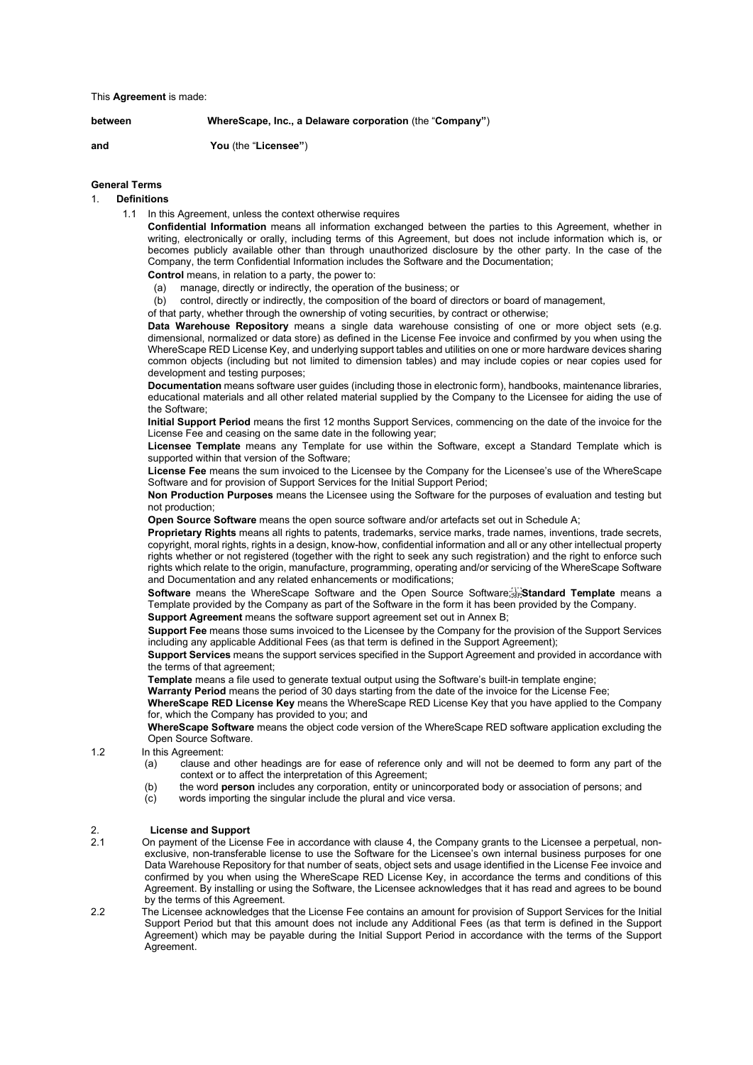This **Agreement** is made:

**between WhereScape, Inc., a Delaware corporation** (the "**Company"**)

**and You** (the "**Licensee"**)

### **General Terms**

- 1. **Definitions**
	- 1.1 In this Agreement, unless the context otherwise requires

**Confidential Information** means all information exchanged between the parties to this Agreement, whether in writing, electronically or orally, including terms of this Agreement, but does not include information which is, or becomes publicly available other than through unauthorized disclosure by the other party. In the case of the Company, the term Confidential Information includes the Software and the Documentation;

**Control** means, in relation to a party, the power to:

- (a) manage, directly or indirectly, the operation of the business; or
- (b) control, directly or indirectly, the composition of the board of directors or board of management,

of that party, whether through the ownership of voting securities, by contract or otherwise;

**Data Warehouse Repository** means a single data warehouse consisting of one or more object sets (e.g. dimensional, normalized or data store) as defined in the License Fee invoice and confirmed by you when using the WhereScape RED License Key, and underlying support tables and utilities on one or more hardware devices sharing common objects (including but not limited to dimension tables) and may include copies or near copies used for development and testing purposes;

**Documentation** means software user guides (including those in electronic form), handbooks, maintenance libraries, educational materials and all other related material supplied by the Company to the Licensee for aiding the use of the Software;

**Initial Support Period** means the first 12 months Support Services, commencing on the date of the invoice for the License Fee and ceasing on the same date in the following year;

**Licensee Template** means any Template for use within the Software, except a Standard Template which is supported within that version of the Software;

**License Fee** means the sum invoiced to the Licensee by the Company for the Licensee's use of the WhereScape Software and for provision of Support Services for the Initial Support Period;

**Non Production Purposes** means the Licensee using the Software for the purposes of evaluation and testing but not production;

**Open Source Software** means the open source software and/or artefacts set out in Schedule A;

**Proprietary Rights** means all rights to patents, trademarks, service marks, trade names, inventions, trade secrets, copyright, moral rights, rights in a design, know-how, confidential information and all or any other intellectual property rights whether or not registered (together with the right to seek any such registration) and the right to enforce such rights which relate to the origin, manufacture, programming, operating and/or servicing of the WhereScape Software and Documentation and any related enhancements or modifications;

**Software** means the WhereScape Software and the Open Source Software; **Standard Template** means a Template provided by the Company as part of the Software in the form it has been provided by the Company. **Support Agreement** means the software support agreement set out in Annex B;

**Support Fee** means those sums invoiced to the Licensee by the Company for the provision of the Support Services including any applicable Additional Fees (as that term is defined in the Support Agreement);

**Support Services** means the support services specified in the Support Agreement and provided in accordance with the terms of that agreement;

**Template** means a file used to generate textual output using the Software's built-in template engine;

**Warranty Period** means the period of 30 days starting from the date of the invoice for the License Fee;

**WhereScape RED License Key** means the WhereScape RED License Key that you have applied to the Company for, which the Company has provided to you; and

**WhereScape Software** means the object code version of the WhereScape RED software application excluding the Open Source Software.

- 1.2 In this Agreement:
	- (a) clause and other headings are for ease of reference only and will not be deemed to form any part of the context or to affect the interpretation of this Agreement;
	- (b) the word **person** includes any corporation, entity or unincorporated body or association of persons; and (c) words importing the singular include the plural and vice versa.
	- words importing the singular include the plural and vice versa.

## 2. **License and Support**

- 2.1 On payment of the License Fee in accordance with clause 4, the Company grants to the Licensee a perpetual, nonexclusive, non-transferable license to use the Software for the Licensee's own internal business purposes for one Data Warehouse Repository for that number of seats, object sets and usage identified in the License Fee invoice and confirmed by you when using the WhereScape RED License Key, in accordance the terms and conditions of this Agreement. By installing or using the Software, the Licensee acknowledges that it has read and agrees to be bound by the terms of this Agreement.
- 2.2 The Licensee acknowledges that the License Fee contains an amount for provision of Support Services for the Initial Support Period but that this amount does not include any Additional Fees (as that term is defined in the Support Agreement) which may be payable during the Initial Support Period in accordance with the terms of the Support Agreement.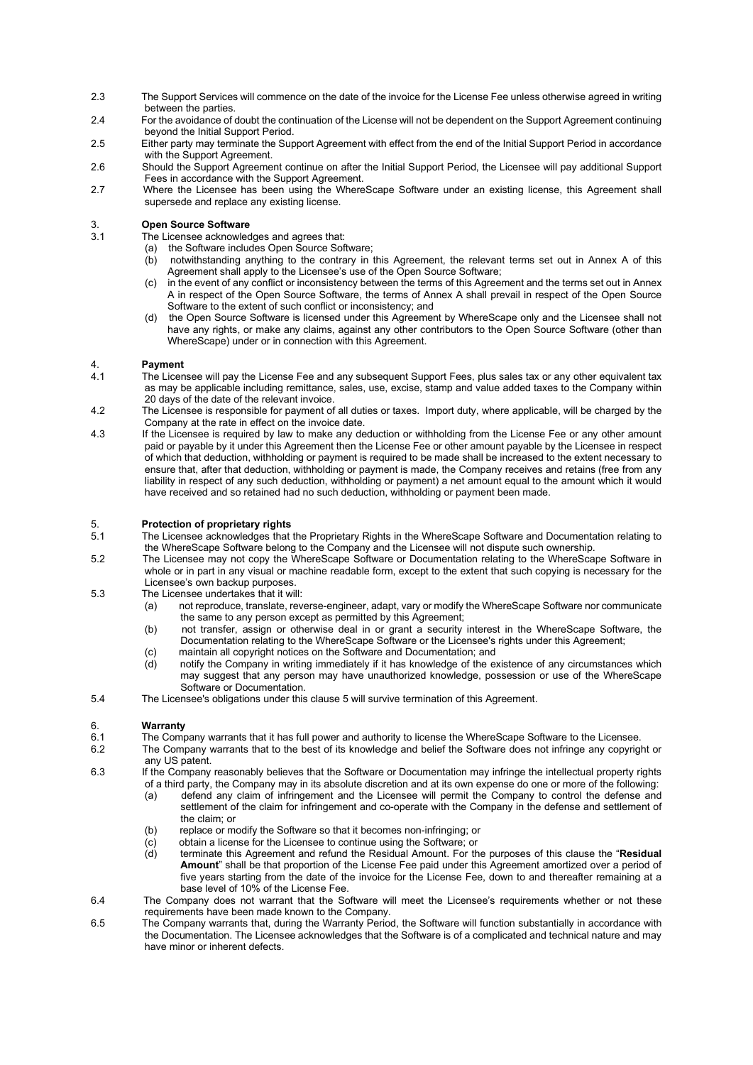- 2.3 The Support Services will commence on the date of the invoice for the License Fee unless otherwise agreed in writing between the parties.
- 2.4 For the avoidance of doubt the continuation of the License will not be dependent on the Support Agreement continuing beyond the Initial Support Period.
- 2.5 Either party may terminate the Support Agreement with effect from the end of the Initial Support Period in accordance with the Support Agreement.
- 2.6 Should the Support Agreement continue on after the Initial Support Period, the Licensee will pay additional Support Fees in accordance with the Support Agreement.
- 2.7 Where the Licensee has been using the WhereScape Software under an existing license, this Agreement shall supersede and replace any existing license.

## 3. **Open Source Software**

- The Licensee acknowledges and agrees that:
- (a) the Software includes Open Source Software;<br>(b) notwithstanding anything to the contrary in
- notwithstanding anything to the contrary in this Agreement, the relevant terms set out in Annex A of this Agreement shall apply to the Licensee's use of the Open Source Software;
- (c) in the event of any conflict or inconsistency between the terms of this Agreement and the terms set out in Annex A in respect of the Open Source Software, the terms of Annex A shall prevail in respect of the Open Source Software to the extent of such conflict or inconsistency; and
- (d) the Open Source Software is licensed under this Agreement by WhereScape only and the Licensee shall not have any rights, or make any claims, against any other contributors to the Open Source Software (other than WhereScape) under or in connection with this Agreement.

# 4. **Payment**

- The Licensee will pay the License Fee and any subsequent Support Fees, plus sales tax or any other equivalent tax as may be applicable including remittance, sales, use, excise, stamp and value added taxes to the Company within 20 days of the date of the relevant invoice.
- 4.2 The Licensee is responsible for payment of all duties or taxes. Import duty, where applicable, will be charged by the Company at the rate in effect on the invoice date.
- 4.3 If the Licensee is required by law to make any deduction or withholding from the License Fee or any other amount paid or payable by it under this Agreement then the License Fee or other amount payable by the Licensee in respect of which that deduction, withholding or payment is required to be made shall be increased to the extent necessary to ensure that, after that deduction, withholding or payment is made, the Company receives and retains (free from any liability in respect of any such deduction, withholding or payment) a net amount equal to the amount which it would have received and so retained had no such deduction, withholding or payment been made.

# 5. **Protection of proprietary rights**

- The Licensee acknowledges that the Proprietary Rights in the WhereScape Software and Documentation relating to the WhereScape Software belong to the Company and the Licensee will not dispute such ownership.
- 5.2 The Licensee may not copy the WhereScape Software or Documentation relating to the WhereScape Software in whole or in part in any visual or machine readable form, except to the extent that such copying is necessary for the Licensee's own backup purposes.
- 5.3 The Licensee undertakes that it will:
	- (a) not reproduce, translate, reverse-engineer, adapt, vary or modify the WhereScape Software nor communicate the same to any person except as permitted by this Agreement;
	- (b) not transfer, assign or otherwise deal in or grant a security interest in the WhereScape Software, the Documentation relating to the WhereScape Software or the Licensee's rights under this Agreement;
	- (c) maintain all copyright notices on the Software and Documentation; and (d) notify the Company in writing immediately if it has knowledge of the example
	- notify the Company in writing immediately if it has knowledge of the existence of any circumstances which may suggest that any person may have unauthorized knowledge, possession or use of the WhereScape Software or Documentation.
- 5.4 The Licensee's obligations under this clause 5 will survive termination of this Agreement.

## 6. **Warranty**

- The Company warrants that it has full power and authority to license the WhereScape Software to the Licensee.
- 6.2 The Company warrants that to the best of its knowledge and belief the Software does not infringe any copyright or any US patent.
- 6.3 If the Company reasonably believes that the Software or Documentation may infringe the intellectual property rights of a third party, the Company may in its absolute discretion and at its own expense do one or more of the following:
	- (a) defend any claim of infringement and the Licensee will permit the Company to control the defense and settlement of the claim for infringement and co-operate with the Company in the defense and settlement of the claim; or
	-
	- (b) replace or modify the Software so that it becomes non-infringing; or<br>
	(c) obtain a license for the Licensee to continue using the Software; or<br>
	(d) terminate this Agreement and refund the Residual Amount. For the obtain a license for the Licensee to continue using the Software; or
	- terminate this Agreement and refund the Residual Amount. For the purposes of this clause the "Residual **Amount**" shall be that proportion of the License Fee paid under this Agreement amortized over a period of five years starting from the date of the invoice for the License Fee, down to and thereafter remaining at a base level of 10% of the License Fee.
- 6.4 The Company does not warrant that the Software will meet the Licensee's requirements whether or not these requirements have been made known to the Company.
- 6.5 The Company warrants that, during the Warranty Period, the Software will function substantially in accordance with the Documentation. The Licensee acknowledges that the Software is of a complicated and technical nature and may have minor or inherent defects.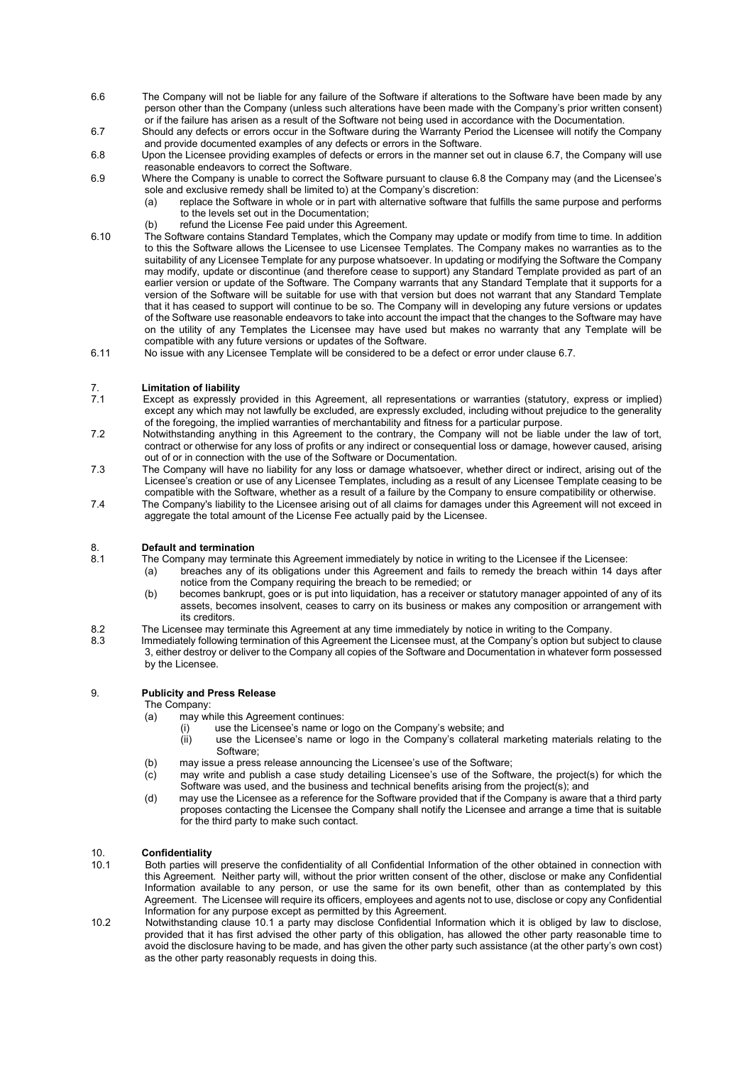- 6.6 The Company will not be liable for any failure of the Software if alterations to the Software have been made by any person other than the Company (unless such alterations have been made with the Company's prior written consent) or if the failure has arisen as a result of the Software not being used in accordance with the Documentation.
- 6.7 Should any defects or errors occur in the Software during the Warranty Period the Licensee will notify the Company and provide documented examples of any defects or errors in the Software.
- 6.8 Upon the Licensee providing examples of defects or errors in the manner set out in clause 6.7, the Company will use reasonable endeavors to correct the Software.
- 6.9 Where the Company is unable to correct the Software pursuant to clause 6.8 the Company may (and the Licensee's sole and exclusive remedy shall be limited to) at the Company's discretion:
	- (a) replace the Software in whole or in part with alternative software that fulfills the same purpose and performs to the levels set out in the Documentation;
	- (b) refund the License Fee paid under this Agreement.
- 6.10 The Software contains Standard Templates, which the Company may update or modify from time to time. In addition to this the Software allows the Licensee to use Licensee Templates. The Company makes no warranties as to the suitability of any Licensee Template for any purpose whatsoever. In updating or modifying the Software the Company may modify, update or discontinue (and therefore cease to support) any Standard Template provided as part of an earlier version or update of the Software. The Company warrants that any Standard Template that it supports for a version of the Software will be suitable for use with that version but does not warrant that any Standard Template that it has ceased to support will continue to be so. The Company will in developing any future versions or updates of the Software use reasonable endeavors to take into account the impact that the changes to the Software may have on the utility of any Templates the Licensee may have used but makes no warranty that any Template will be compatible with any future versions or updates of the Software.
- 6.11 No issue with any Licensee Template will be considered to be a defect or error under clause 6.7.

## 7. **Limitation of liability**

- Except as expressly provided in this Agreement, all representations or warranties (statutory, express or implied) except any which may not lawfully be excluded, are expressly excluded, including without prejudice to the generality of the foregoing, the implied warranties of merchantability and fitness for a particular purpose.
- 7.2 Notwithstanding anything in this Agreement to the contrary, the Company will not be liable under the law of tort, contract or otherwise for any loss of profits or any indirect or consequential loss or damage, however caused, arising out of or in connection with the use of the Software or Documentation.
- 7.3 The Company will have no liability for any loss or damage whatsoever, whether direct or indirect, arising out of the Licensee's creation or use of any Licensee Templates, including as a result of any Licensee Template ceasing to be compatible with the Software, whether as a result of a failure by the Company to ensure compatibility or otherwise.
- 7.4 The Company's liability to the Licensee arising out of all claims for damages under this Agreement will not exceed in aggregate the total amount of the License Fee actually paid by the Licensee.

## 8. **Default and termination**<br>8.1 The Company may termin

The Company may terminate this Agreement immediately by notice in writing to the Licensee if the Licensee:<br>(a) breaches any of its obligations under this Agreement and fails to remedy the breach within 14 day

- breaches any of its obligations under this Agreement and fails to remedy the breach within 14 days after notice from the Company requiring the breach to be remedied; or
- (b) becomes bankrupt, goes or is put into liquidation, has a receiver or statutory manager appointed of any of its assets, becomes insolvent, ceases to carry on its business or makes any composition or arrangement with its creditors.
- 8.2 The Licensee may terminate this Agreement at any time immediately by notice in writing to the Company.<br>8.3 Immediately following termination of this Agreement the Licensee must at the Company's option but subject
- Immediately following termination of this Agreement the Licensee must, at the Company's option but subject to clause 3, either destroy or deliver to the Company all copies of the Software and Documentation in whatever form possessed by the Licensee.

#### 9. **Publicity and Press Release**

- The Company:<br>(a) may w
	- may while this Agreement continues:
		- (i) use the Licensee's name or logo on the Company's website; and (ii) use the Licensee's name or logo in the Company's collateral r
		- use the Licensee's name or logo in the Company's collateral marketing materials relating to the Software;
	- (b) may issue a press release announcing the Licensee's use of the Software;
	- (c) may write and publish a case study detailing Licensee's use of the Software, the project(s) for which the Software was used, and the business and technical benefits arising from the project(s); and
	- (d) may use the Licensee as a reference for the Software provided that if the Company is aware that a third party proposes contacting the Licensee the Company shall notify the Licensee and arrange a time that is suitable for the third party to make such contact.

## 10. **Confidentiality**

- 10.1 Both parties will preserve the confidentiality of all Confidential Information of the other obtained in connection with this Agreement. Neither party will, without the prior written consent of the other, disclose or make any Confidential Information available to any person, or use the same for its own benefit, other than as contemplated by this Agreement. The Licensee will require its officers, employees and agents not to use, disclose or copy any Confidential Information for any purpose except as permitted by this Agreement.
- 10.2 Notwithstanding clause 10.1 a party may disclose Confidential Information which it is obliged by law to disclose, provided that it has first advised the other party of this obligation, has allowed the other party reasonable time to avoid the disclosure having to be made, and has given the other party such assistance (at the other party's own cost) as the other party reasonably requests in doing this.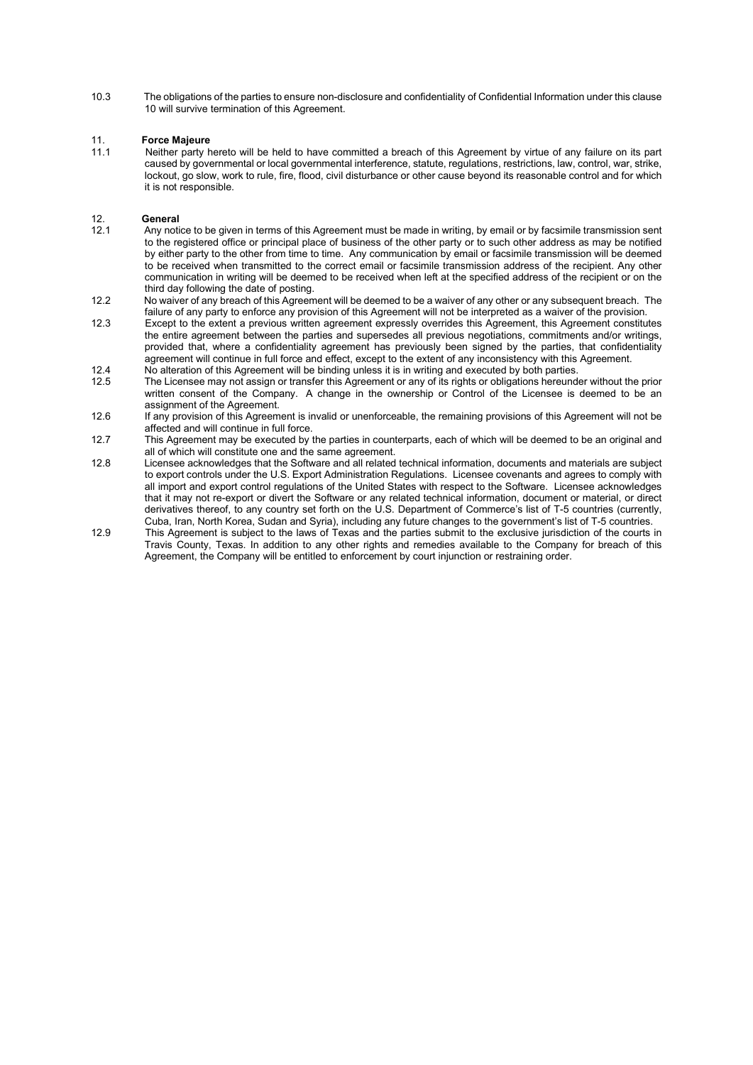10.3 The obligations of the parties to ensure non-disclosure and confidentiality of Confidential Information under this clause 10 will survive termination of this Agreement.

### 11. **Force Majeure**

Neither party hereto will be held to have committed a breach of this Agreement by virtue of any failure on its part caused by governmental or local governmental interference, statute, regulations, restrictions, law, control, war, strike, lockout, go slow, work to rule, fire, flood, civil disturbance or other cause beyond its reasonable control and for which it is not responsible.

### 12. **General**

- Any notice to be given in terms of this Agreement must be made in writing, by email or by facsimile transmission sent to the registered office or principal place of business of the other party or to such other address as may be notified by either party to the other from time to time. Any communication by email or facsimile transmission will be deemed to be received when transmitted to the correct email or facsimile transmission address of the recipient. Any other communication in writing will be deemed to be received when left at the specified address of the recipient or on the third day following the date of posting.
- 12.2 No waiver of any breach of this Agreement will be deemed to be a waiver of any other or any subsequent breach. The failure of any party to enforce any provision of this Agreement will not be interpreted as a waiver of the provision.
- 12.3 Except to the extent a previous written agreement expressly overrides this Agreement, this Agreement constitutes the entire agreement between the parties and supersedes all previous negotiations, commitments and/or writings, provided that, where a confidentiality agreement has previously been signed by the parties, that confidentiality agreement will continue in full force and effect, except to the extent of any inconsistency with this Agreement.
- 12.4 No alteration of this Agreement will be binding unless it is in writing and executed by both parties.<br>12.5 The Licensee may not assign or transfer this Agreement or any of its rights or obligations hereund The Licensee may not assign or transfer this Agreement or any of its rights or obligations hereunder without the prior written consent of the Company. A change in the ownership or Control of the Licensee is deemed to be an assignment of the Agreement.
- 12.6 If any provision of this Agreement is invalid or unenforceable, the remaining provisions of this Agreement will not be affected and will continue in full force.
- 12.7 This Agreement may be executed by the parties in counterparts, each of which will be deemed to be an original and all of which will constitute one and the same agreement.
- 12.8 Licensee acknowledges that the Software and all related technical information, documents and materials are subject to export controls under the U.S. Export Administration Regulations. Licensee covenants and agrees to comply with all import and export control regulations of the United States with respect to the Software. Licensee acknowledges that it may not re-export or divert the Software or any related technical information, document or material, or direct derivatives thereof, to any country set forth on the U.S. Department of Commerce's list of T-5 countries (currently, Cuba, Iran, North Korea, Sudan and Syria), including any future changes to the government's list of T-5 countries.
- 12.9 This Agreement is subject to the laws of Texas and the parties submit to the exclusive jurisdiction of the courts in Travis County, Texas. In addition to any other rights and remedies available to the Company for breach of this Agreement, the Company will be entitled to enforcement by court injunction or restraining order.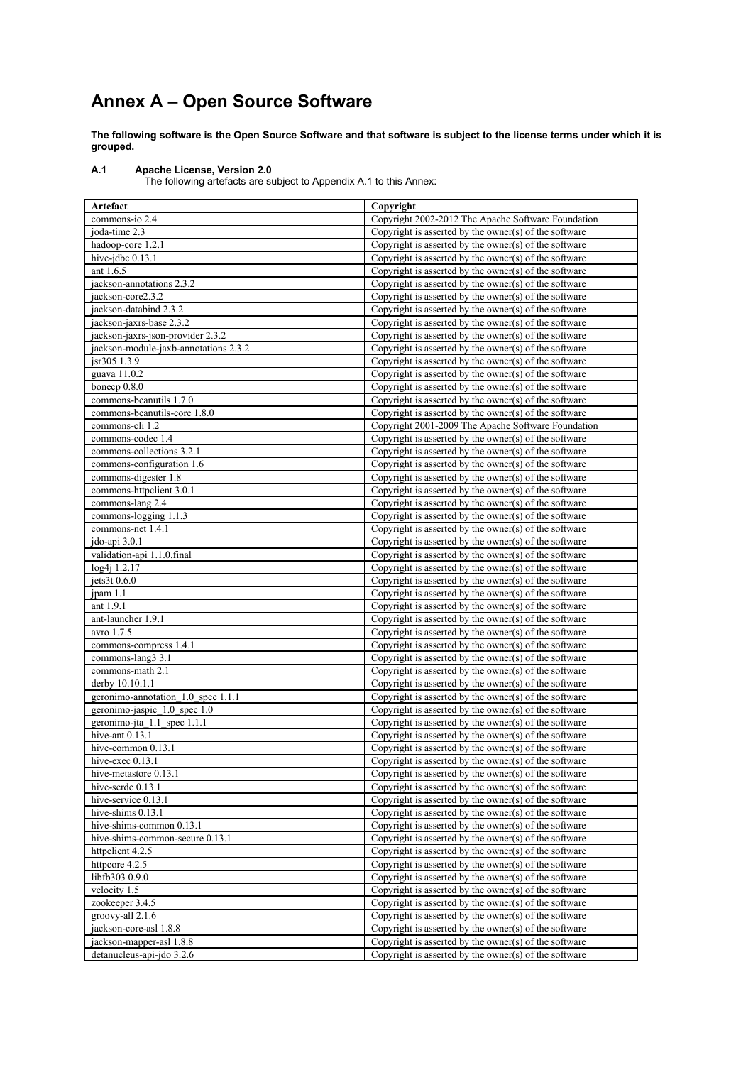# **Annex A – Open Source Software**

**The following software is the Open Source Software and that software is subject to the license terms under which it is grouped.**

#### **A.1 Apache License, Version 2.0**

The following artefacts are subject to Appendix A.1 to this Annex:

| Artefact                              | Copyright                                                |
|---------------------------------------|----------------------------------------------------------|
| commons-io 2.4                        | Copyright 2002-2012 The Apache Software Foundation       |
| ioda-time 2.3                         | Copyright is asserted by the owner(s) of the software    |
| hadoop-core 1.2.1                     | Copyright is asserted by the owner(s) of the software    |
| hive-jdbc $0.13.1$                    | Copyright is asserted by the owner(s) of the software    |
| ant $1.6.5$                           | Copyright is asserted by the owner $(s)$ of the software |
| jackson-annotations 2.3.2             | Copyright is asserted by the owner(s) of the software    |
| jackson-core2.3.2                     | Copyright is asserted by the owner(s) of the software    |
| jackson-databind 2.3.2                | Copyright is asserted by the owner(s) of the software    |
| jackson-jaxrs-base 2.3.2              | Copyright is asserted by the owner(s) of the software    |
| jackson-jaxrs-json-provider 2.3.2     | Copyright is asserted by the owner(s) of the software    |
| jackson-module-jaxb-annotations 2.3.2 | Copyright is asserted by the owner(s) of the software    |
| jsr305 1.3.9                          | Copyright is asserted by the owner(s) of the software    |
| guava 11.0.2                          | Copyright is asserted by the owner(s) of the software    |
| bonecp $0.8.0$                        | Copyright is asserted by the owner(s) of the software    |
| commons-beanutils 1.7.0               | Copyright is asserted by the owner(s) of the software    |
| commons-beanutils-core 1.8.0          | Copyright is asserted by the owner(s) of the software    |
| commons-cli 1.2                       | Copyright 2001-2009 The Apache Software Foundation       |
| commons-codec 1.4                     | Copyright is asserted by the owner(s) of the software    |
| commons-collections 3.2.1             | Copyright is asserted by the owner(s) of the software    |
| commons-configuration 1.6             | Copyright is asserted by the owner $(s)$ of the software |
| commons-digester 1.8                  | Copyright is asserted by the owner(s) of the software    |
| commons-httpclient 3.0.1              | Copyright is asserted by the owner(s) of the software    |
| commons-lang 2.4                      | Copyright is asserted by the owner(s) of the software    |
| commons-logging 1.1.3                 | Copyright is asserted by the owner(s) of the software    |
| commons-net 1.4.1                     | Copyright is asserted by the owner(s) of the software    |
| ido-api 3.0.1                         | Copyright is asserted by the owner(s) of the software    |
| validation-api 1.1.0.final            | Copyright is asserted by the owner(s) of the software    |
| $log4j$ 1.2.17                        | Copyright is asserted by the owner(s) of the software    |
| jets $3t0.6.0$                        | Copyright is asserted by the owner(s) of the software    |
| jpam 1.1                              | Copyright is asserted by the owner(s) of the software    |
| ant 1.9.1                             | Copyright is asserted by the owner(s) of the software    |
| ant-launcher 1.9.1                    | Copyright is asserted by the owner(s) of the software    |
| avro 1.7.5                            | Copyright is asserted by the owner(s) of the software    |
| commons-compress 1.4.1                | Copyright is asserted by the owner(s) of the software    |
| commons-lang3 3.1                     | Copyright is asserted by the owner(s) of the software    |
| commons-math 2.1                      | Copyright is asserted by the owner(s) of the software    |
| derby 10.10.1.1                       | Copyright is asserted by the owner(s) of the software    |
| geronimo-annotation 1.0 spec 1.1.1    | Copyright is asserted by the owner(s) of the software    |
| geronimo-jaspic 1.0 spec 1.0          | Copyright is asserted by the owner(s) of the software    |
| geronimo-jta 1.1 spec 1.1.1           | Copyright is asserted by the owner(s) of the software    |
| hive-ant $0.13.1$                     | Copyright is asserted by the owner(s) of the software    |
| hive-common 0.13.1                    | Copyright is asserted by the owner(s) of the software    |
| hive-exec 0.13.1                      | Copyright is asserted by the owner(s) of the software    |
| hive-metastore 0.13.1                 | Copyright is asserted by the owner(s) of the software    |
| hive-serde 0.13.1                     | Copyright is asserted by the owner(s) of the software    |
| hive-service 0.13.1                   | Copyright is asserted by the owner(s) of the software    |
| hive-shims 0.13.1                     | Copyright is asserted by the owner $(s)$ of the software |
| hive-shims-common 0.13.1              | Copyright is asserted by the owner(s) of the software    |
| hive-shims-common-secure 0.13.1       | Copyright is asserted by the owner(s) of the software    |
| httpclient 4.2.5                      | Copyright is asserted by the owner $(s)$ of the software |
| httpcore 4.2.5                        | Copyright is asserted by the owner(s) of the software    |
| libfb303 0.9.0                        | Copyright is asserted by the owner(s) of the software    |
| velocity 1.5                          | Copyright is asserted by the owner(s) of the software    |
| zookeeper 3.4.5                       | Copyright is asserted by the owner $(s)$ of the software |
| groovy-all 2.1.6                      | Copyright is asserted by the owner(s) of the software    |
| jackson-core-asl 1.8.8                | Copyright is asserted by the owner(s) of the software    |
| jackson-mapper-asl 1.8.8              | Copyright is asserted by the owner(s) of the software    |
| detanucleus-api-jdo 3.2.6             | Copyright is asserted by the owner(s) of the software    |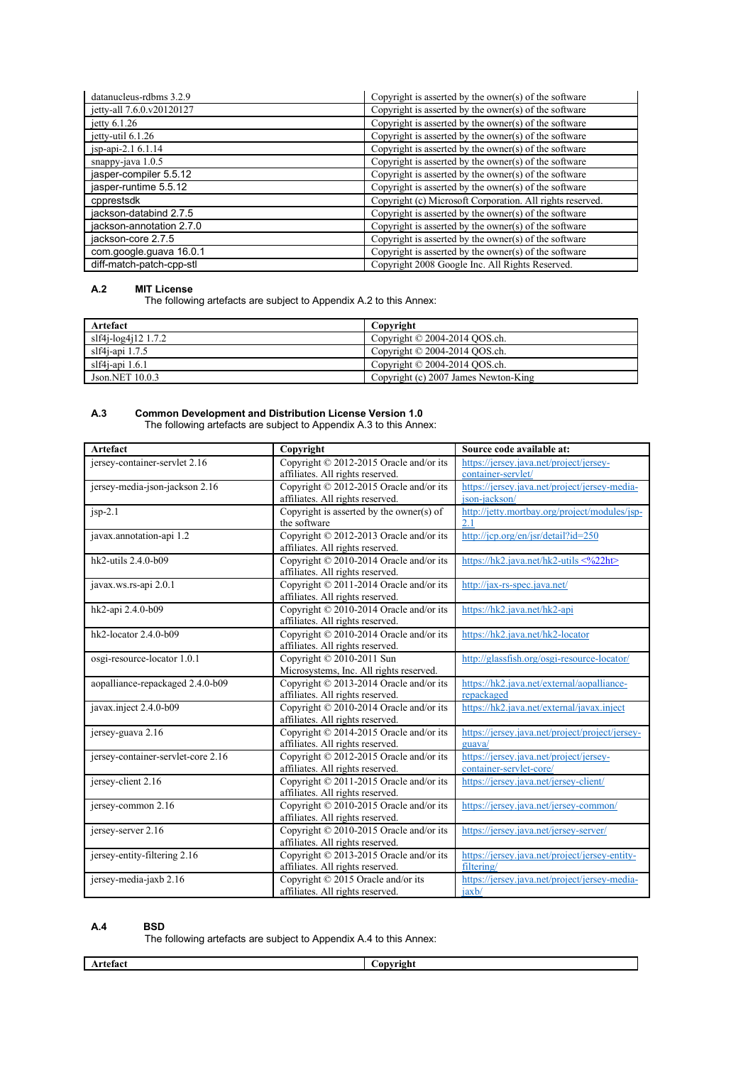| datanucleus-rdbms 3.2.9   | Copyright is asserted by the owner(s) of the software     |
|---------------------------|-----------------------------------------------------------|
| jetty-all 7.6.0.v20120127 | Copyright is asserted by the owner(s) of the software     |
| jetty $6.1.26$            | Copyright is asserted by the owner(s) of the software     |
| jetty-util $6.1.26$       | Copyright is asserted by the owner(s) of the software     |
| jsp-api-2.1 6.1.14        | Copyright is asserted by the owner(s) of the software     |
| snappy-java 1.0.5         | Copyright is asserted by the owner( $s$ ) of the software |
| jasper-compiler 5.5.12    | Copyright is asserted by the owner(s) of the software     |
| jasper-runtime 5.5.12     | Copyright is asserted by the owner(s) of the software     |
| coprestsdk                | Copyright (c) Microsoft Corporation. All rights reserved. |
| jackson-databind 2.7.5    | Copyright is asserted by the owner(s) of the software     |
| jackson-annotation 2.7.0  | Copyright is asserted by the owner(s) of the software     |
| jackson-core 2.7.5        | Copyright is asserted by the owner(s) of the software     |
| com google guava 16.0.1   | Copyright is asserted by the owner(s) of the software     |
| diff-match-patch-cpp-stl  | Copyright 2008 Google Inc. All Rights Reserved.           |

### **A.2 MIT License**

The following artefacts are subject to Appendix A.2 to this Annex:

| Artefact            | Copyright                            |
|---------------------|--------------------------------------|
| slf4j-log4j12 1.7.2 | Copyright $\odot$ 2004-2014 OOS.ch.  |
| slf4j-api $1.7.5$   | Copyright $\odot$ 2004-2014 QOS.ch.  |
| slf4j-api $1.6.1$   | Copyright $\odot$ 2004-2014 QOS.ch.  |
| Json.NET $10.0.3$   | Copyright (c) 2007 James Newton-King |

### **A.3 Common Development and Distribution License Version 1.0**

The following artefacts are subject to Appendix A.3 to this Annex:

| Artefact                           | Copyright                                                                   | Source code available at:                                          |
|------------------------------------|-----------------------------------------------------------------------------|--------------------------------------------------------------------|
| jersey-container-servlet 2.16      | Copyright © 2012-2015 Oracle and/or its<br>affiliates. All rights reserved. | https://jersey.java.net/project/jersey-<br>container-servlet/      |
| jersey-media-json-jackson 2.16     | Copyright © 2012-2015 Oracle and/or its<br>affiliates. All rights reserved. | https://jersey.java.net/project/jersey-media-<br>json-jackson/     |
| $jsp-2.1$                          | Copyright is asserted by the owner(s) of<br>the software                    | http://jetty.mortbay.org/project/modules/jsp-<br>2.1               |
| javax.annotation-api 1.2           | Copyright © 2012-2013 Oracle and/or its<br>affiliates. All rights reserved. | http://jcp.org/en/jsr/detail?id=250                                |
| hk2-utils 2.4.0-b09                | Copyright © 2010-2014 Oracle and/or its<br>affiliates. All rights reserved. | https://hk2.java.net/hk2-utils <%22ht>                             |
| javax.ws.rs-api 2.0.1              | Copyright © 2011-2014 Oracle and/or its<br>affiliates. All rights reserved. | http://jax-rs-spec.java.net/                                       |
| hk2-api 2.4.0-b09                  | Copyright © 2010-2014 Oracle and/or its<br>affiliates. All rights reserved. | https://hk2.java.net/hk2-api                                       |
| hk2-locator 2.4.0-b09              | Copyright © 2010-2014 Oracle and/or its<br>affiliates. All rights reserved. | https://hk2.java.net/hk2-locator                                   |
| osgi-resource-locator 1.0.1        | Copyright © 2010-2011 Sun<br>Microsystems, Inc. All rights reserved.        | http://glassfish.org/osgi-resource-locator/                        |
| aopalliance-repackaged 2.4.0-b09   | Copyright © 2013-2014 Oracle and/or its<br>affiliates. All rights reserved. | https://hk2.java.net/external/aopalliance-<br>repackaged           |
| javax.inject 2.4.0-b09             | Copyright © 2010-2014 Oracle and/or its<br>affiliates. All rights reserved. | https://hk2.java.net/external/javax.inject                         |
| jersey-guava 2.16                  | Copyright © 2014-2015 Oracle and/or its<br>affiliates. All rights reserved. | https://jersey.java.net/project/project/jersey-<br>guava/          |
| jersey-container-servlet-core 2.16 | Copyright © 2012-2015 Oracle and/or its<br>affiliates. All rights reserved. | https://jersey.java.net/project/jersey-<br>container-servlet-core/ |
| jersey-client 2.16                 | Copyright © 2011-2015 Oracle and/or its<br>affiliates. All rights reserved. | https://jersey.java.net/jersey-client/                             |
| jersey-common 2.16                 | Copyright © 2010-2015 Oracle and/or its<br>affiliates. All rights reserved. | https://jersey.java.net/jersey-common/                             |
| jersey-server 2.16                 | Copyright © 2010-2015 Oracle and/or its<br>affiliates. All rights reserved. | https://jersey.java.net/jersey-server/                             |
| jersey-entity-filtering 2.16       | Copyright © 2013-2015 Oracle and/or its<br>affiliates. All rights reserved. | https://jersey.java.net/project/jersey-entity-<br>filtering/       |
| jersey-media-jaxb 2.16             | Copyright © 2015 Oracle and/or its<br>affiliates. All rights reserved.      | https://jersey.java.net/project/jersey-media-<br>jaxb/             |

### **A.4 BSD**

The following artefacts are subject to Appendix A.4 to this Annex: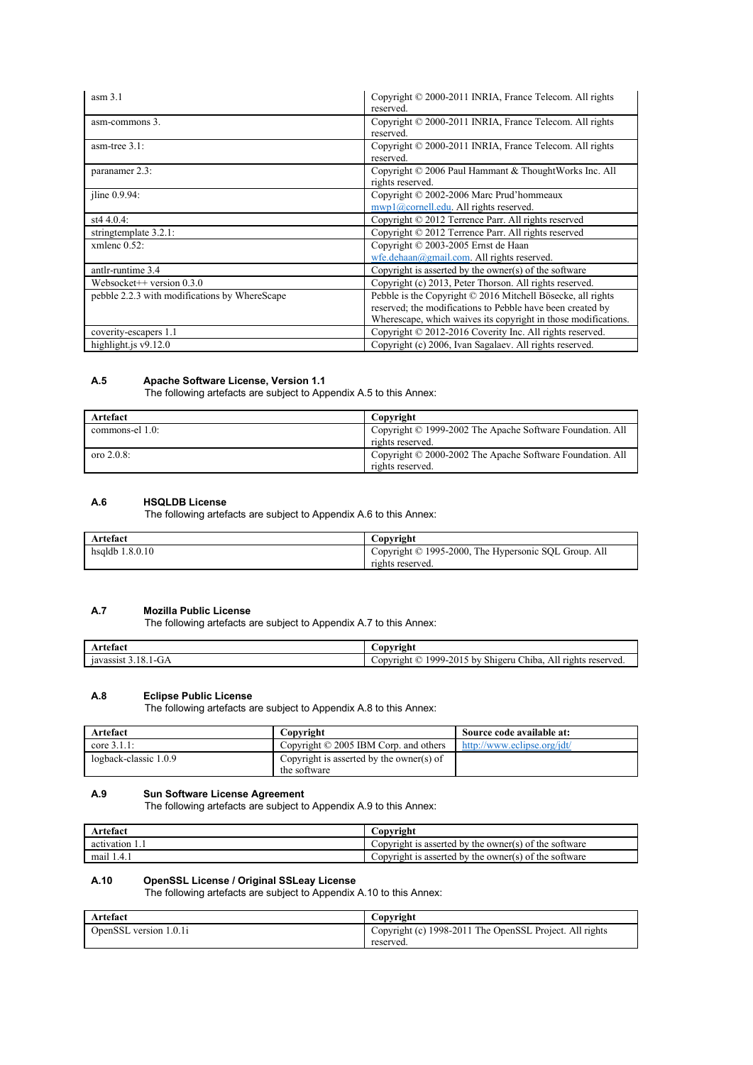| asm <sub>3.1</sub>                            | Copyright © 2000-2011 INRIA, France Telecom. All rights<br>reserved.                                                                                                                        |
|-----------------------------------------------|---------------------------------------------------------------------------------------------------------------------------------------------------------------------------------------------|
| asm-commons 3.                                | Copyright © 2000-2011 INRIA, France Telecom. All rights<br>reserved.                                                                                                                        |
| $asm-tree 3.1:$                               | Copyright © 2000-2011 INRIA, France Telecom. All rights<br>reserved.                                                                                                                        |
| paranamer 2.3:                                | Copyright © 2006 Paul Hammant & ThoughtWorks Inc. All<br>rights reserved.                                                                                                                   |
| iline $0.9.94$ :                              | Copyright © 2002-2006 Marc Prud'hommeaux<br>mwp1@cornell.edu. All rights reserved.                                                                                                          |
| st4 4.0.4:                                    | Copyright © 2012 Terrence Parr. All rights reserved                                                                                                                                         |
| stringtemplate 3.2.1:                         | Copyright © 2012 Terrence Parr. All rights reserved                                                                                                                                         |
| xmlenc $0.52$ :                               | Copyright © 2003-2005 Ernst de Haan<br>wfe.dehaan@gmail.com. All rights reserved.                                                                                                           |
| antlr-runtime 3.4                             | Copyright is asserted by the owner(s) of the software                                                                                                                                       |
| Websocket++ version 0.3.0                     | Copyright (c) 2013, Peter Thorson. All rights reserved.                                                                                                                                     |
| pebble 2.2.3 with modifications by WhereScape | Pebble is the Copyright © 2016 Mitchell Bösecke, all rights<br>reserved; the modifications to Pebble have been created by<br>Wherescape, which waives its copyright in those modifications. |
| coverity-escapers 1.1                         | Copyright © 2012-2016 Coverity Inc. All rights reserved.                                                                                                                                    |
| highlight.js $v9.12.0$                        | Copyright (c) 2006, Ivan Sagalaev. All rights reserved.                                                                                                                                     |

### **A.5 Apache Software License, Version 1.1**

The following artefacts are subject to Appendix A.5 to this Annex:

| Artefact        | Copyright                                                                     |
|-----------------|-------------------------------------------------------------------------------|
| commons-el 1.0: | Copyright © 1999-2002 The Apache Software Foundation. All<br>rights reserved. |
| oro $2.0.8$ :   | Copyright © 2000-2002 The Apache Software Foundation. All<br>rights reserved. |

### **A.6 HSQLDB License**

The following artefacts are subject to Appendix A.6 to this Annex:

| Artefact          | Copvright                                                                |
|-------------------|--------------------------------------------------------------------------|
| hsqldb $1.8.0.10$ | Copyright © 1995-2000, The Hypersonic SQL Group. All<br>rights reserved. |

#### **A.7 Mozilla Public License**

The following artefacts are subject to Appendix A.7 to this Annex:

| Artefact        | .'opvrigh                                                                                                             |
|-----------------|-----------------------------------------------------------------------------------------------------------------------|
| 18.18.1<br>1-GA | $\sim$<br>$-2015$<br>1999-1<br>. rights<br>reserved.<br>Ali<br>. hv<br>Shigeru<br>Chiba.<br>$\sim$ opvright<br>.<br>◡ |

#### **A.8 Eclipse Public License**

The following artefacts are subject to Appendix A.8 to this Annex:

| Artefact              | Copyright                                                | Source code available at:   |
|-----------------------|----------------------------------------------------------|-----------------------------|
| core $3.1.1$ :        | Copyright $\odot$ 2005 IBM Corp. and others              | http://www.eclipse.org/idt/ |
| logback-classic 1.0.9 | Copyright is asserted by the owner(s) of<br>the software |                             |

#### **A.9 Sun Software License Agreement**

The following artefacts are subject to Appendix A.9 to this Annex:

| Artefact      | Copyright                                             |
|---------------|-------------------------------------------------------|
| activation 1. | Copyright is asserted by the owner(s) of the software |
| mail 1.4.1    | Copyright is asserted by the owner(s) of the software |

#### **A.10 OpenSSL License / Original SSLeay License**

The following artefacts are subject to Appendix A.10 to this Annex:

| Artefact               | Copyright                                                            |
|------------------------|----------------------------------------------------------------------|
| OpenSSL version 1.0.1i | Copyright (c) 1998-2011 The OpenSSL Project. All rights<br>reserved. |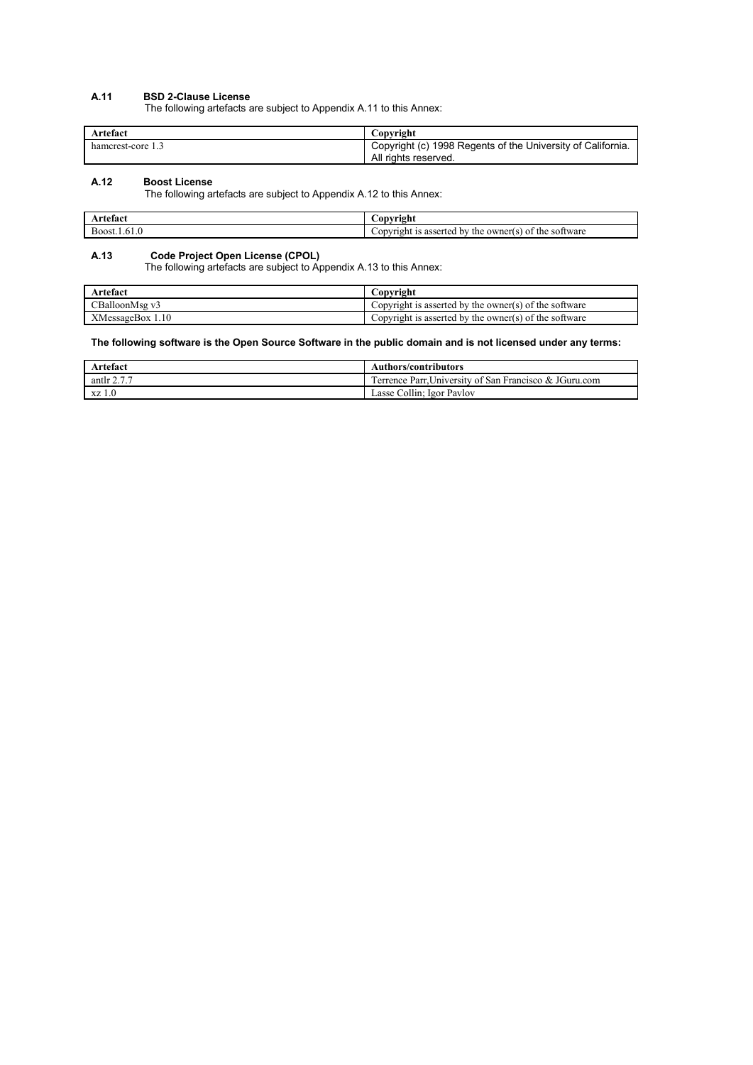#### **A.11 BSD 2-Clause License**

The following artefacts are subject to Appendix A.11 to this Annex:

| Artefact          | Copyright                                                                           |
|-------------------|-------------------------------------------------------------------------------------|
| hamcrest-core 1.3 | Copyright (c) 1998 Regents of the University of California.<br>All rights reserved. |

#### **A.12 Boost License**

The following artefacts are subject to Appendix A.12 to this Annex:

| rtefact          | Copvright                                                          |
|------------------|--------------------------------------------------------------------|
| BOOSL.<br>1.61.0 | e owner(s) of the software<br>Copyright<br>. by the<br>is asserted |

#### **A.13 Code Project Open License (CPOL)**

The following artefacts are subject to Appendix A.13 to this Annex:

| Artefact         | Copvright                                             |
|------------------|-------------------------------------------------------|
| CBalloonMsg v3   | Copyright is asserted by the owner(s) of the software |
| XMessageBox 1.10 | Copyright is asserted by the owner(s) of the software |

### **The following software is the Open Source Software in the public domain and is not licensed under any terms:**

| Artefact      | <b>Authors/contributors</b>                           |
|---------------|-------------------------------------------------------|
| antlr $2.7.7$ | Terrence Parr University of San Francisco & JGuru.com |
| xz 1.0        | Lasse Collin: Igor Paylov                             |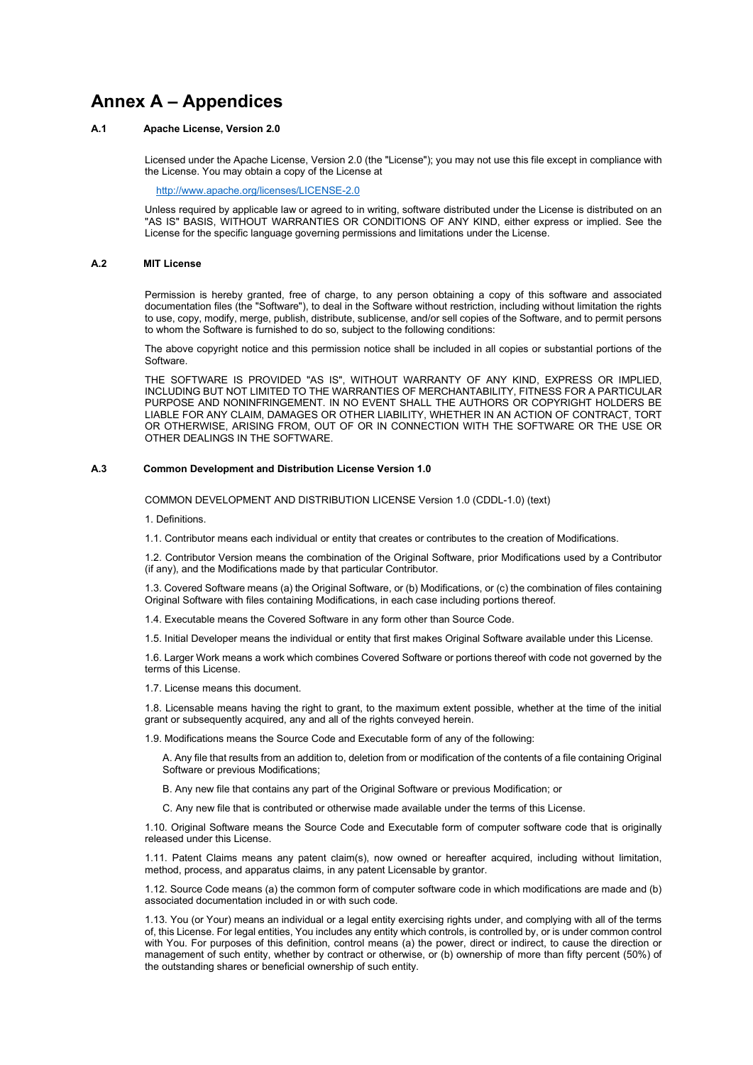## **Annex A – Appendices**

#### **A.1 Apache License, Version 2.0**

Licensed under the Apache License, Version 2.0 (the "License"); you may not use this file except in compliance with the License. You may obtain a copy of the License at

<http://www.apache.org/licenses/LICENSE-2.0>

Unless required by applicable law or agreed to in writing, software distributed under the License is distributed on an "AS IS" BASIS, WITHOUT WARRANTIES OR CONDITIONS OF ANY KIND, either express or implied. See the License for the specific language governing permissions and limitations under the License.

#### **A.2 MIT License**

Permission is hereby granted, free of charge, to any person obtaining a copy of this software and associated documentation files (the "Software"), to deal in the Software without restriction, including without limitation the rights to use, copy, modify, merge, publish, distribute, sublicense, and/or sell copies of the Software, and to permit persons to whom the Software is furnished to do so, subject to the following conditions:

The above copyright notice and this permission notice shall be included in all copies or substantial portions of the Software.

THE SOFTWARE IS PROVIDED "AS IS", WITHOUT WARRANTY OF ANY KIND, EXPRESS OR IMPLIED, INCLUDING BUT NOT LIMITED TO THE WARRANTIES OF MERCHANTABILITY, FITNESS FOR A PARTICULAR PURPOSE AND NONINFRINGEMENT. IN NO EVENT SHALL THE AUTHORS OR COPYRIGHT HOLDERS BE LIABLE FOR ANY CLAIM, DAMAGES OR OTHER LIABILITY, WHETHER IN AN ACTION OF CONTRACT, TORT OR OTHERWISE, ARISING FROM, OUT OF OR IN CONNECTION WITH THE SOFTWARE OR THE USE OR OTHER DEALINGS IN THE SOFTWARE.

#### **A.3 Common Development and Distribution License Version 1.0**

COMMON DEVELOPMENT AND DISTRIBUTION LICENSE Version 1.0 (CDDL-1.0) (text)

1. Definitions.

1.1. Contributor means each individual or entity that creates or contributes to the creation of Modifications.

1.2. Contributor Version means the combination of the Original Software, prior Modifications used by a Contributor (if any), and the Modifications made by that particular Contributor.

1.3. Covered Software means (a) the Original Software, or (b) Modifications, or (c) the combination of files containing Original Software with files containing Modifications, in each case including portions thereof.

1.4. Executable means the Covered Software in any form other than Source Code.

1.5. Initial Developer means the individual or entity that first makes Original Software available under this License.

1.6. Larger Work means a work which combines Covered Software or portions thereof with code not governed by the terms of this License.

1.7. License means this document.

1.8. Licensable means having the right to grant, to the maximum extent possible, whether at the time of the initial grant or subsequently acquired, any and all of the rights conveyed herein.

1.9. Modifications means the Source Code and Executable form of any of the following:

A. Any file that results from an addition to, deletion from or modification of the contents of a file containing Original Software or previous Modifications;

B. Any new file that contains any part of the Original Software or previous Modification; or

C. Any new file that is contributed or otherwise made available under the terms of this License.

1.10. Original Software means the Source Code and Executable form of computer software code that is originally released under this License.

1.11. Patent Claims means any patent claim(s), now owned or hereafter acquired, including without limitation, method, process, and apparatus claims, in any patent Licensable by grantor.

1.12. Source Code means (a) the common form of computer software code in which modifications are made and (b) associated documentation included in or with such code.

1.13. You (or Your) means an individual or a legal entity exercising rights under, and complying with all of the terms of, this License. For legal entities, You includes any entity which controls, is controlled by, or is under common control with You. For purposes of this definition, control means (a) the power, direct or indirect, to cause the direction or management of such entity, whether by contract or otherwise, or (b) ownership of more than fifty percent (50%) of the outstanding shares or beneficial ownership of such entity.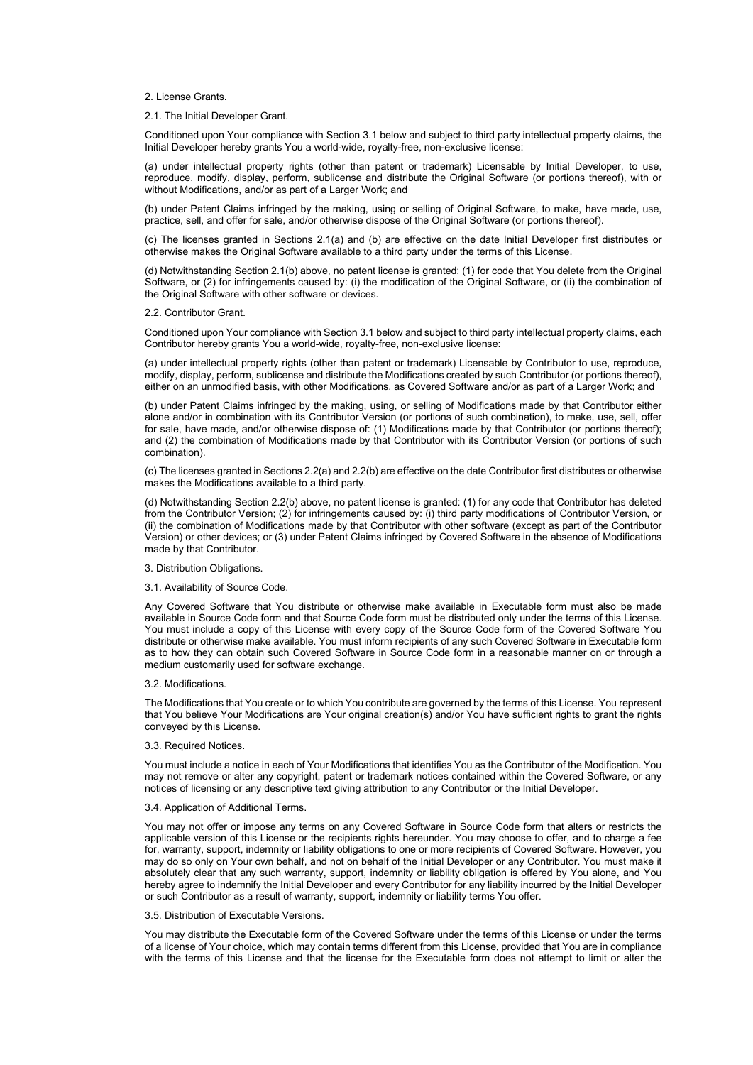#### 2. License Grants.

2.1. The Initial Developer Grant.

Conditioned upon Your compliance with Section 3.1 below and subject to third party intellectual property claims, the Initial Developer hereby grants You a world-wide, royalty-free, non-exclusive license:

(a) under intellectual property rights (other than patent or trademark) Licensable by Initial Developer, to use, reproduce, modify, display, perform, sublicense and distribute the Original Software (or portions thereof), with or without Modifications, and/or as part of a Larger Work; and

(b) under Patent Claims infringed by the making, using or selling of Original Software, to make, have made, use, practice, sell, and offer for sale, and/or otherwise dispose of the Original Software (or portions thereof).

(c) The licenses granted in Sections 2.1(a) and (b) are effective on the date Initial Developer first distributes or otherwise makes the Original Software available to a third party under the terms of this License.

(d) Notwithstanding Section 2.1(b) above, no patent license is granted: (1) for code that You delete from the Original Software, or (2) for infringements caused by: (i) the modification of the Original Software, or (ii) the combination of the Original Software with other software or devices.

#### 2.2. Contributor Grant.

Conditioned upon Your compliance with Section 3.1 below and subject to third party intellectual property claims, each Contributor hereby grants You a world-wide, royalty-free, non-exclusive license:

(a) under intellectual property rights (other than patent or trademark) Licensable by Contributor to use, reproduce, modify, display, perform, sublicense and distribute the Modifications created by such Contributor (or portions thereof), either on an unmodified basis, with other Modifications, as Covered Software and/or as part of a Larger Work; and

(b) under Patent Claims infringed by the making, using, or selling of Modifications made by that Contributor either alone and/or in combination with its Contributor Version (or portions of such combination), to make, use, sell, offer for sale, have made, and/or otherwise dispose of: (1) Modifications made by that Contributor (or portions thereof); and (2) the combination of Modifications made by that Contributor with its Contributor Version (or portions of such combination).

(c) The licenses granted in Sections 2.2(a) and 2.2(b) are effective on the date Contributor first distributes or otherwise makes the Modifications available to a third party.

(d) Notwithstanding Section 2.2(b) above, no patent license is granted: (1) for any code that Contributor has deleted from the Contributor Version; (2) for infringements caused by: (i) third party modifications of Contributor Version, or (ii) the combination of Modifications made by that Contributor with other software (except as part of the Contributor Version) or other devices; or (3) under Patent Claims infringed by Covered Software in the absence of Modifications made by that Contributor.

3. Distribution Obligations.

#### 3.1. Availability of Source Code.

Any Covered Software that You distribute or otherwise make available in Executable form must also be made available in Source Code form and that Source Code form must be distributed only under the terms of this License. You must include a copy of this License with every copy of the Source Code form of the Covered Software You distribute or otherwise make available. You must inform recipients of any such Covered Software in Executable form as to how they can obtain such Covered Software in Source Code form in a reasonable manner on or through a medium customarily used for software exchange.

#### 3.2. Modifications.

The Modifications that You create or to which You contribute are governed by the terms of this License. You represent that You believe Your Modifications are Your original creation(s) and/or You have sufficient rights to grant the rights conveyed by this License.

#### 3.3. Required Notices.

You must include a notice in each of Your Modifications that identifies You as the Contributor of the Modification. You may not remove or alter any copyright, patent or trademark notices contained within the Covered Software, or any notices of licensing or any descriptive text giving attribution to any Contributor or the Initial Developer.

#### 3.4. Application of Additional Terms.

You may not offer or impose any terms on any Covered Software in Source Code form that alters or restricts the applicable version of this License or the recipients rights hereunder. You may choose to offer, and to charge a fee for, warranty, support, indemnity or liability obligations to one or more recipients of Covered Software. However, you may do so only on Your own behalf, and not on behalf of the Initial Developer or any Contributor. You must make it absolutely clear that any such warranty, support, indemnity or liability obligation is offered by You alone, and You hereby agree to indemnify the Initial Developer and every Contributor for any liability incurred by the Initial Developer or such Contributor as a result of warranty, support, indemnity or liability terms You offer.

#### 3.5. Distribution of Executable Versions.

You may distribute the Executable form of the Covered Software under the terms of this License or under the terms of a license of Your choice, which may contain terms different from this License, provided that You are in compliance with the terms of this License and that the license for the Executable form does not attempt to limit or alter the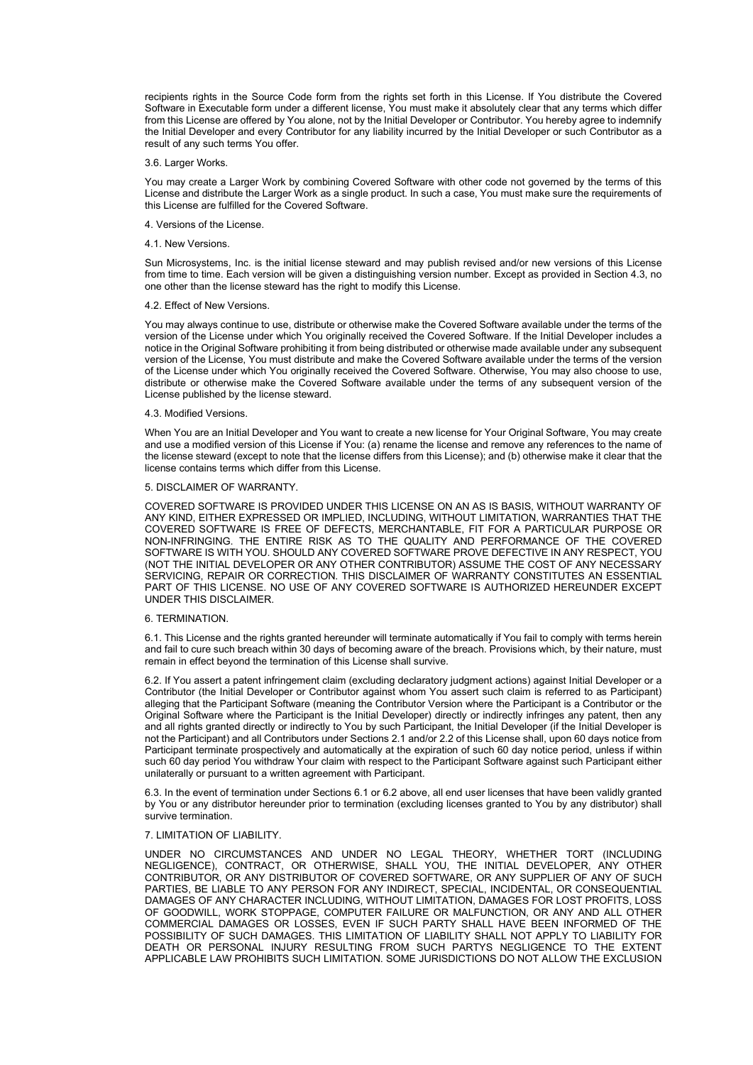recipients rights in the Source Code form from the rights set forth in this License. If You distribute the Covered Software in Executable form under a different license, You must make it absolutely clear that any terms which differ from this License are offered by You alone, not by the Initial Developer or Contributor. You hereby agree to indemnify the Initial Developer and every Contributor for any liability incurred by the Initial Developer or such Contributor as a result of any such terms You offer.

#### 3.6. Larger Works.

You may create a Larger Work by combining Covered Software with other code not governed by the terms of this License and distribute the Larger Work as a single product. In such a case, You must make sure the requirements of this License are fulfilled for the Covered Software.

#### 4. Versions of the License.

#### 4.1. New Versions.

Sun Microsystems, Inc. is the initial license steward and may publish revised and/or new versions of this License from time to time. Each version will be given a distinguishing version number. Except as provided in Section 4.3, no one other than the license steward has the right to modify this License.

#### 4.2. Effect of New Versions.

You may always continue to use, distribute or otherwise make the Covered Software available under the terms of the version of the License under which You originally received the Covered Software. If the Initial Developer includes a notice in the Original Software prohibiting it from being distributed or otherwise made available under any subsequent version of the License, You must distribute and make the Covered Software available under the terms of the version of the License under which You originally received the Covered Software. Otherwise, You may also choose to use, distribute or otherwise make the Covered Software available under the terms of any subsequent version of the License published by the license steward.

#### 4.3. Modified Versions.

When You are an Initial Developer and You want to create a new license for Your Original Software, You may create and use a modified version of this License if You: (a) rename the license and remove any references to the name of the license steward (except to note that the license differs from this License); and (b) otherwise make it clear that the license contains terms which differ from this License.

#### 5. DISCLAIMER OF WARRANTY.

COVERED SOFTWARE IS PROVIDED UNDER THIS LICENSE ON AN AS IS BASIS, WITHOUT WARRANTY OF ANY KIND, EITHER EXPRESSED OR IMPLIED, INCLUDING, WITHOUT LIMITATION, WARRANTIES THAT THE COVERED SOFTWARE IS FREE OF DEFECTS, MERCHANTABLE, FIT FOR A PARTICULAR PURPOSE OR NON-INFRINGING. THE ENTIRE RISK AS TO THE QUALITY AND PERFORMANCE OF THE COVERED SOFTWARE IS WITH YOU. SHOULD ANY COVERED SOFTWARE PROVE DEFECTIVE IN ANY RESPECT, YOU (NOT THE INITIAL DEVELOPER OR ANY OTHER CONTRIBUTOR) ASSUME THE COST OF ANY NECESSARY SERVICING, REPAIR OR CORRECTION. THIS DISCLAIMER OF WARRANTY CONSTITUTES AN ESSENTIAL PART OF THIS LICENSE. NO USE OF ANY COVERED SOFTWARE IS AUTHORIZED HEREUNDER EXCEPT UNDER THIS DISCLAIMER.

#### 6. TERMINATION.

6.1. This License and the rights granted hereunder will terminate automatically if You fail to comply with terms herein and fail to cure such breach within 30 days of becoming aware of the breach. Provisions which, by their nature, must remain in effect beyond the termination of this License shall survive.

6.2. If You assert a patent infringement claim (excluding declaratory judgment actions) against Initial Developer or a Contributor (the Initial Developer or Contributor against whom You assert such claim is referred to as Participant) alleging that the Participant Software (meaning the Contributor Version where the Participant is a Contributor or the Original Software where the Participant is the Initial Developer) directly or indirectly infringes any patent, then any and all rights granted directly or indirectly to You by such Participant, the Initial Developer (if the Initial Developer is not the Participant) and all Contributors under Sections 2.1 and/or 2.2 of this License shall, upon 60 days notice from Participant terminate prospectively and automatically at the expiration of such 60 day notice period, unless if within such 60 day period You withdraw Your claim with respect to the Participant Software against such Participant either unilaterally or pursuant to a written agreement with Participant.

6.3. In the event of termination under Sections 6.1 or 6.2 above, all end user licenses that have been validly granted by You or any distributor hereunder prior to termination (excluding licenses granted to You by any distributor) shall survive termination.

#### 7. LIMITATION OF LIABILITY.

UNDER NO CIRCUMSTANCES AND UNDER NO LEGAL THEORY, WHETHER TORT (INCLUDING NEGLIGENCE), CONTRACT, OR OTHERWISE, SHALL YOU, THE INITIAL DEVELOPER, ANY OTHER CONTRIBUTOR, OR ANY DISTRIBUTOR OF COVERED SOFTWARE, OR ANY SUPPLIER OF ANY OF SUCH PARTIES, BE LIABLE TO ANY PERSON FOR ANY INDIRECT, SPECIAL, INCIDENTAL, OR CONSEQUENTIAL DAMAGES OF ANY CHARACTER INCLUDING, WITHOUT LIMITATION, DAMAGES FOR LOST PROFITS, LOSS OF GOODWILL, WORK STOPPAGE, COMPUTER FAILURE OR MALFUNCTION, OR ANY AND ALL OTHER COMMERCIAL DAMAGES OR LOSSES, EVEN IF SUCH PARTY SHALL HAVE BEEN INFORMED OF THE POSSIBILITY OF SUCH DAMAGES. THIS LIMITATION OF LIABILITY SHALL NOT APPLY TO LIABILITY FOR DEATH OR PERSONAL INJURY RESULTING FROM SUCH PARTYS NEGLIGENCE TO THE EXTENT APPLICABLE LAW PROHIBITS SUCH LIMITATION. SOME JURISDICTIONS DO NOT ALLOW THE EXCLUSION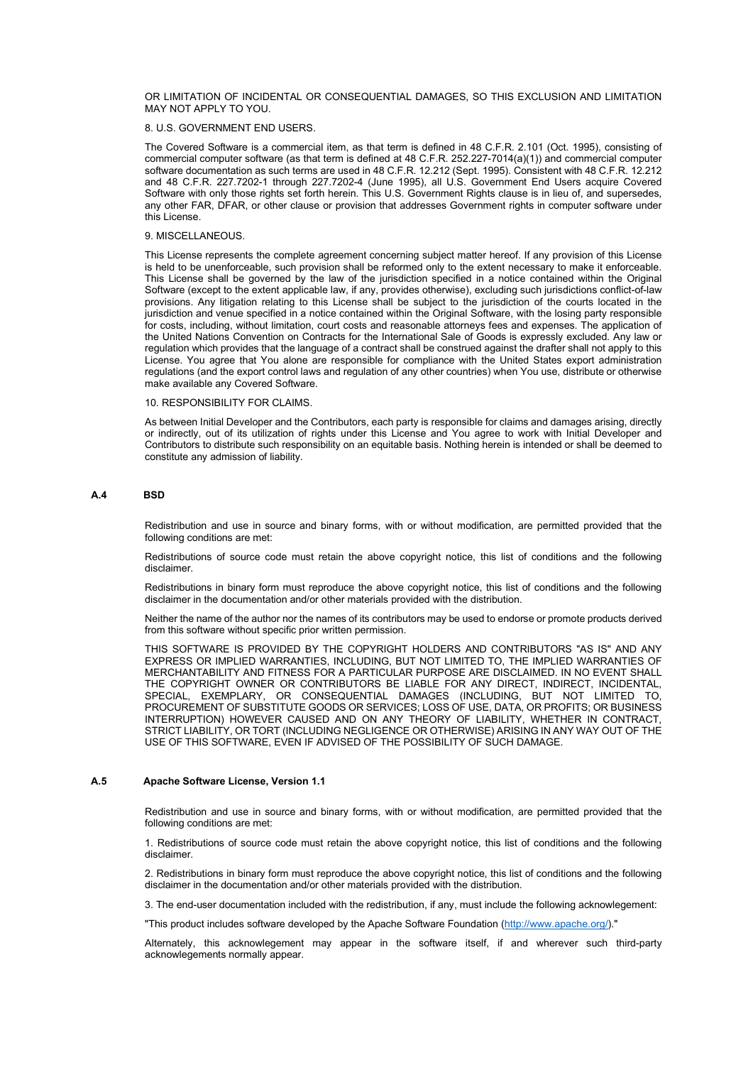OR LIMITATION OF INCIDENTAL OR CONSEQUENTIAL DAMAGES, SO THIS EXCLUSION AND LIMITATION MAY NOT APPLY TO YOU.

#### 8. U.S. GOVERNMENT END USERS.

The Covered Software is a commercial item, as that term is defined in 48 C.F.R. 2.101 (Oct. 1995), consisting of commercial computer software (as that term is defined at 48 C.F.R. 252.227-7014(a)(1)) and commercial computer software documentation as such terms are used in 48 C.F.R. 12.212 (Sept. 1995). Consistent with 48 C.F.R. 12.212 and 48 C.F.R. 227.7202-1 through 227.7202-4 (June 1995), all U.S. Government End Users acquire Covered Software with only those rights set forth herein. This U.S. Government Rights clause is in lieu of, and supersedes, any other FAR, DFAR, or other clause or provision that addresses Government rights in computer software under this License.

#### 9. MISCELLANEOUS.

This License represents the complete agreement concerning subject matter hereof. If any provision of this License is held to be unenforceable, such provision shall be reformed only to the extent necessary to make it enforceable. This License shall be governed by the law of the jurisdiction specified in a notice contained within the Original Software (except to the extent applicable law, if any, provides otherwise), excluding such jurisdictions conflict-of-law provisions. Any litigation relating to this License shall be subject to the jurisdiction of the courts located in the jurisdiction and venue specified in a notice contained within the Original Software, with the losing party responsible for costs, including, without limitation, court costs and reasonable attorneys fees and expenses. The application of the United Nations Convention on Contracts for the International Sale of Goods is expressly excluded. Any law or regulation which provides that the language of a contract shall be construed against the drafter shall not apply to this License. You agree that You alone are responsible for compliance with the United States export administration regulations (and the export control laws and regulation of any other countries) when You use, distribute or otherwise make available any Covered Software.

#### 10. RESPONSIBILITY FOR CLAIMS.

As between Initial Developer and the Contributors, each party is responsible for claims and damages arising, directly or indirectly, out of its utilization of rights under this License and You agree to work with Initial Developer and Contributors to distribute such responsibility on an equitable basis. Nothing herein is intended or shall be deemed to constitute any admission of liability.

#### **A.4 BSD**

Redistribution and use in source and binary forms, with or without modification, are permitted provided that the following conditions are met:

Redistributions of source code must retain the above copyright notice, this list of conditions and the following disclaimer.

Redistributions in binary form must reproduce the above copyright notice, this list of conditions and the following disclaimer in the documentation and/or other materials provided with the distribution.

Neither the name of the author nor the names of its contributors may be used to endorse or promote products derived from this software without specific prior written permission.

THIS SOFTWARE IS PROVIDED BY THE COPYRIGHT HOLDERS AND CONTRIBUTORS "AS IS" AND ANY EXPRESS OR IMPLIED WARRANTIES, INCLUDING, BUT NOT LIMITED TO, THE IMPLIED WARRANTIES OF MERCHANTABILITY AND FITNESS FOR A PARTICULAR PURPOSE ARE DISCLAIMED. IN NO EVENT SHALL THE COPYRIGHT OWNER OR CONTRIBUTORS BE LIABLE FOR ANY DIRECT, INDIRECT, INCIDENTAL, SPECIAL, EXEMPLARY, OR CONSEQUENTIAL DAMAGES (INCLUDING, BUT NOT LIMITED TO, PROCUREMENT OF SUBSTITUTE GOODS OR SERVICES; LOSS OF USE, DATA, OR PROFITS; OR BUSINESS INTERRUPTION) HOWEVER CAUSED AND ON ANY THEORY OF LIABILITY, WHETHER IN CONTRACT, STRICT LIABILITY, OR TORT (INCLUDING NEGLIGENCE OR OTHERWISE) ARISING IN ANY WAY OUT OF THE USE OF THIS SOFTWARE, EVEN IF ADVISED OF THE POSSIBILITY OF SUCH DAMAGE.

#### **A.5 Apache Software License, Version 1.1**

Redistribution and use in source and binary forms, with or without modification, are permitted provided that the following conditions are met:

1. Redistributions of source code must retain the above copyright notice, this list of conditions and the following disclaimer.

2. Redistributions in binary form must reproduce the above copyright notice, this list of conditions and the following disclaimer in the documentation and/or other materials provided with the distribution.

3. The end-user documentation included with the redistribution, if any, must include the following acknowlegement:

"This product includes software developed by the Apache Software Foundation [\(http://www.apache.org/\)](http://www.apache.org/)."

Alternately, this acknowlegement may appear in the software itself, if and wherever such third-party acknowlegements normally appear.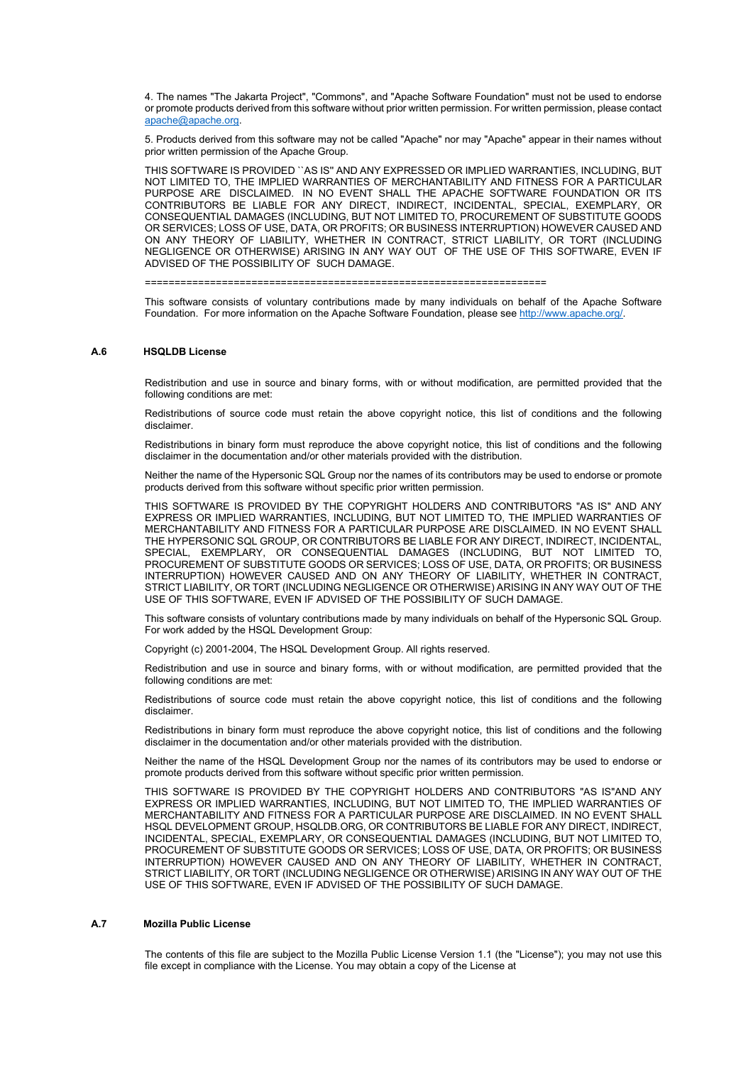4. The names "The Jakarta Project", "Commons", and "Apache Software Foundation" must not be used to endorse or promote products derived from this software without prior written permission. For written permission, please contact [apache@apache.org.](mailto:apache@apache.org)

5. Products derived from this software may not be called "Apache" nor may "Apache" appear in their names without prior written permission of the Apache Group.

THIS SOFTWARE IS PROVIDED ``AS IS'' AND ANY EXPRESSED OR IMPLIED WARRANTIES, INCLUDING, BUT NOT LIMITED TO, THE IMPLIED WARRANTIES OF MERCHANTABILITY AND FITNESS FOR A PARTICULAR PURPOSE ARE DISCLAIMED. IN NO EVENT SHALL THE APACHE SOFTWARE FOUNDATION OR ITS CONTRIBUTORS BE LIABLE FOR ANY DIRECT, INDIRECT, INCIDENTAL, SPECIAL, EXEMPLARY, OR CONSEQUENTIAL DAMAGES (INCLUDING, BUT NOT LIMITED TO, PROCUREMENT OF SUBSTITUTE GOODS OR SERVICES; LOSS OF USE, DATA, OR PROFITS; OR BUSINESS INTERRUPTION) HOWEVER CAUSED AND ON ANY THEORY OF LIABILITY, WHETHER IN CONTRACT, STRICT LIABILITY, OR TORT (INCLUDING NEGLIGENCE OR OTHERWISE) ARISING IN ANY WAY OUT OF THE USE OF THIS SOFTWARE, EVEN IF ADVISED OF THE POSSIBILITY OF SUCH DAMAGE.

=================

This software consists of voluntary contributions made by many individuals on behalf of the Apache Software Foundation. For more information on the Apache Software Foundation, please se[e http://www.apache.org/.](http://www.apache.org/)

#### **A.6 HSQLDB License**

Redistribution and use in source and binary forms, with or without modification, are permitted provided that the following conditions are met:

Redistributions of source code must retain the above copyright notice, this list of conditions and the following disclaimer.

Redistributions in binary form must reproduce the above copyright notice, this list of conditions and the following disclaimer in the documentation and/or other materials provided with the distribution.

Neither the name of the Hypersonic SQL Group nor the names of its contributors may be used to endorse or promote products derived from this software without specific prior written permission.

THIS SOFTWARE IS PROVIDED BY THE COPYRIGHT HOLDERS AND CONTRIBUTORS "AS IS" AND ANY EXPRESS OR IMPLIED WARRANTIES, INCLUDING, BUT NOT LIMITED TO, THE IMPLIED WARRANTIES OF MERCHANTABILITY AND FITNESS FOR A PARTICULAR PURPOSE ARE DISCLAIMED. IN NO EVENT SHALL THE HYPERSONIC SQL GROUP, OR CONTRIBUTORS BE LIABLE FOR ANY DIRECT, INDIRECT, INCIDENTAL, SPECIAL, EXEMPLARY, OR CONSEQUENTIAL DAMAGES (INCLUDING, BUT NOT LIMITED TO, PROCUREMENT OF SUBSTITUTE GOODS OR SERVICES; LOSS OF USE, DATA, OR PROFITS; OR BUSINESS INTERRUPTION) HOWEVER CAUSED AND ON ANY THEORY OF LIABILITY, WHETHER IN CONTRACT, STRICT LIABILITY, OR TORT (INCLUDING NEGLIGENCE OR OTHERWISE) ARISING IN ANY WAY OUT OF THE USE OF THIS SOFTWARE, EVEN IF ADVISED OF THE POSSIBILITY OF SUCH DAMAGE.

This software consists of voluntary contributions made by many individuals on behalf of the Hypersonic SQL Group. For work added by the HSQL Development Group:

Copyright (c) 2001-2004, The HSQL Development Group. All rights reserved.

Redistribution and use in source and binary forms, with or without modification, are permitted provided that the following conditions are met:

Redistributions of source code must retain the above copyright notice, this list of conditions and the following disclaimer.

Redistributions in binary form must reproduce the above copyright notice, this list of conditions and the following disclaimer in the documentation and/or other materials provided with the distribution.

Neither the name of the HSQL Development Group nor the names of its contributors may be used to endorse or promote products derived from this software without specific prior written permission.

THIS SOFTWARE IS PROVIDED BY THE COPYRIGHT HOLDERS AND CONTRIBUTORS "AS IS"AND ANY EXPRESS OR IMPLIED WARRANTIES, INCLUDING, BUT NOT LIMITED TO, THE IMPLIED WARRANTIES OF MERCHANTABILITY AND FITNESS FOR A PARTICULAR PURPOSE ARE DISCLAIMED. IN NO EVENT SHALL HSQL DEVELOPMENT GROUP, HSQLDB.ORG, OR CONTRIBUTORS BE LIABLE FOR ANY DIRECT, INDIRECT, INCIDENTAL, SPECIAL, EXEMPLARY, OR CONSEQUENTIAL DAMAGES (INCLUDING, BUT NOT LIMITED TO, PROCUREMENT OF SUBSTITUTE GOODS OR SERVICES; LOSS OF USE, DATA, OR PROFITS; OR BUSINESS INTERRUPTION) HOWEVER CAUSED AND ON ANY THEORY OF LIABILITY, WHETHER IN CONTRACT, STRICT LIABILITY, OR TORT (INCLUDING NEGLIGENCE OR OTHERWISE) ARISING IN ANY WAY OUT OF THE USE OF THIS SOFTWARE, EVEN IF ADVISED OF THE POSSIBILITY OF SUCH DAMAGE.

#### **A.7 Mozilla Public License**

The contents of this file are subject to the Mozilla Public License Version 1.1 (the "License"); you may not use this file except in compliance with the License. You may obtain a copy of the License at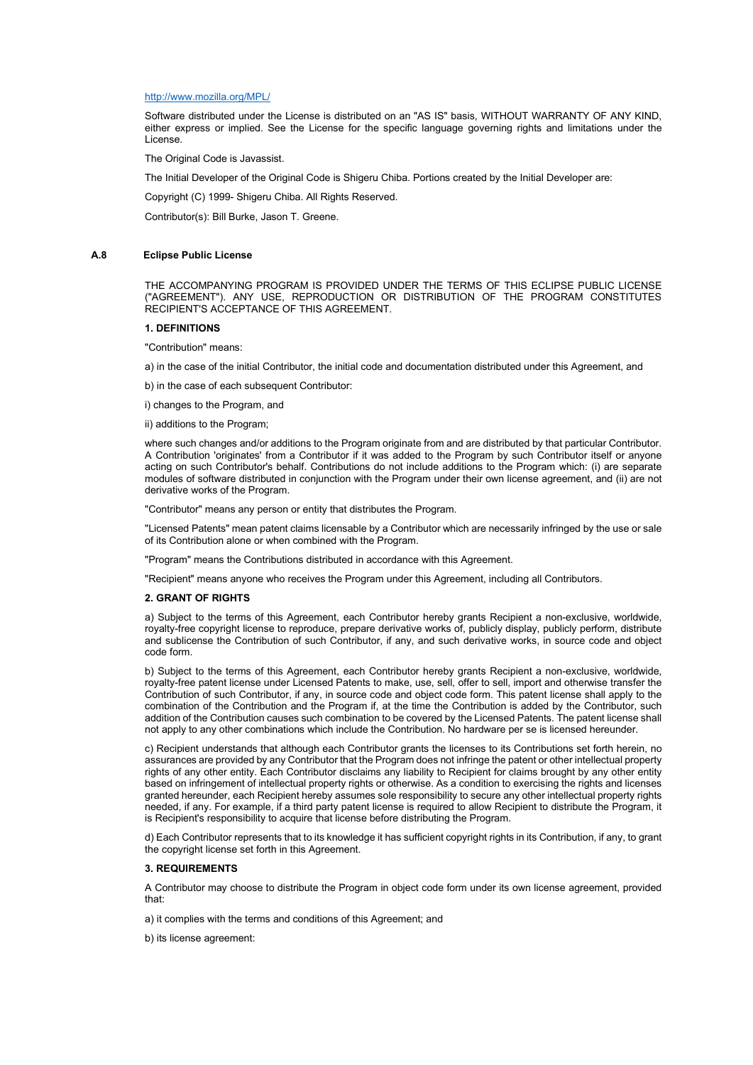#### <http://www.mozilla.org/MPL/>

Software distributed under the License is distributed on an "AS IS" basis, WITHOUT WARRANTY OF ANY KIND, either express or implied. See the License for the specific language governing rights and limitations under the License.

The Original Code is Javassist.

The Initial Developer of the Original Code is Shigeru Chiba. Portions created by the Initial Developer are:

Copyright (C) 1999- Shigeru Chiba. All Rights Reserved.

Contributor(s): Bill Burke, Jason T. Greene.

#### **A.8 Eclipse Public License**

THE ACCOMPANYING PROGRAM IS PROVIDED UNDER THE TERMS OF THIS ECLIPSE PUBLIC LICENSE ("AGREEMENT"). ANY USE, REPRODUCTION OR DISTRIBUTION OF THE PROGRAM CONSTITUTES RECIPIENT'S ACCEPTANCE OF THIS AGREEMENT.

#### **1. DEFINITIONS**

"Contribution" means:

a) in the case of the initial Contributor, the initial code and documentation distributed under this Agreement, and

b) in the case of each subsequent Contributor:

i) changes to the Program, and

ii) additions to the Program;

where such changes and/or additions to the Program originate from and are distributed by that particular Contributor. A Contribution 'originates' from a Contributor if it was added to the Program by such Contributor itself or anyone acting on such Contributor's behalf. Contributions do not include additions to the Program which: (i) are separate modules of software distributed in conjunction with the Program under their own license agreement, and (ii) are not derivative works of the Program.

"Contributor" means any person or entity that distributes the Program.

"Licensed Patents" mean patent claims licensable by a Contributor which are necessarily infringed by the use or sale of its Contribution alone or when combined with the Program.

"Program" means the Contributions distributed in accordance with this Agreement.

"Recipient" means anyone who receives the Program under this Agreement, including all Contributors.

#### **2. GRANT OF RIGHTS**

a) Subject to the terms of this Agreement, each Contributor hereby grants Recipient a non-exclusive, worldwide, royalty-free copyright license to reproduce, prepare derivative works of, publicly display, publicly perform, distribute and sublicense the Contribution of such Contributor, if any, and such derivative works, in source code and object code form.

b) Subject to the terms of this Agreement, each Contributor hereby grants Recipient a non-exclusive, worldwide, royalty-free patent license under Licensed Patents to make, use, sell, offer to sell, import and otherwise transfer the Contribution of such Contributor, if any, in source code and object code form. This patent license shall apply to the combination of the Contribution and the Program if, at the time the Contribution is added by the Contributor, such addition of the Contribution causes such combination to be covered by the Licensed Patents. The patent license shall not apply to any other combinations which include the Contribution. No hardware per se is licensed hereunder.

c) Recipient understands that although each Contributor grants the licenses to its Contributions set forth herein, no assurances are provided by any Contributor that the Program does not infringe the patent or other intellectual property rights of any other entity. Each Contributor disclaims any liability to Recipient for claims brought by any other entity based on infringement of intellectual property rights or otherwise. As a condition to exercising the rights and licenses granted hereunder, each Recipient hereby assumes sole responsibility to secure any other intellectual property rights needed, if any. For example, if a third party patent license is required to allow Recipient to distribute the Program, it is Recipient's responsibility to acquire that license before distributing the Program.

d) Each Contributor represents that to its knowledge it has sufficient copyright rights in its Contribution, if any, to grant the copyright license set forth in this Agreement.

#### **3. REQUIREMENTS**

A Contributor may choose to distribute the Program in object code form under its own license agreement, provided that:

a) it complies with the terms and conditions of this Agreement; and

b) its license agreement: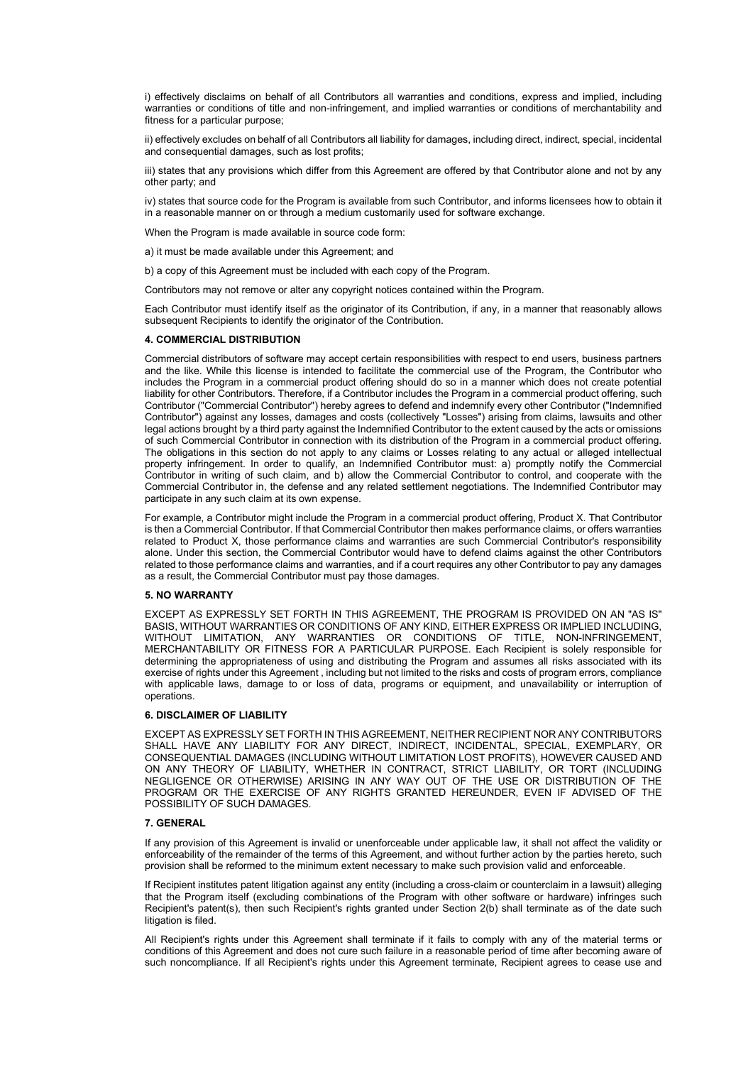i) effectively disclaims on behalf of all Contributors all warranties and conditions, express and implied, including warranties or conditions of title and non-infringement, and implied warranties or conditions of merchantability and fitness for a particular purpose;

ii) effectively excludes on behalf of all Contributors all liability for damages, including direct, indirect, special, incidental and consequential damages, such as lost profits;

iii) states that any provisions which differ from this Agreement are offered by that Contributor alone and not by any other party; and

iv) states that source code for the Program is available from such Contributor, and informs licensees how to obtain it in a reasonable manner on or through a medium customarily used for software exchange.

When the Program is made available in source code form:

a) it must be made available under this Agreement; and

b) a copy of this Agreement must be included with each copy of the Program.

Contributors may not remove or alter any copyright notices contained within the Program.

Each Contributor must identify itself as the originator of its Contribution, if any, in a manner that reasonably allows subsequent Recipients to identify the originator of the Contribution.

#### **4. COMMERCIAL DISTRIBUTION**

Commercial distributors of software may accept certain responsibilities with respect to end users, business partners and the like. While this license is intended to facilitate the commercial use of the Program, the Contributor who includes the Program in a commercial product offering should do so in a manner which does not create potential liability for other Contributors. Therefore, if a Contributor includes the Program in a commercial product offering, such Contributor ("Commercial Contributor") hereby agrees to defend and indemnify every other Contributor ("Indemnified Contributor") against any losses, damages and costs (collectively "Losses") arising from claims, lawsuits and other legal actions brought by a third party against the Indemnified Contributor to the extent caused by the acts or omissions of such Commercial Contributor in connection with its distribution of the Program in a commercial product offering. The obligations in this section do not apply to any claims or Losses relating to any actual or alleged intellectual property infringement. In order to qualify, an Indemnified Contributor must: a) promptly notify the Commercial Contributor in writing of such claim, and b) allow the Commercial Contributor to control, and cooperate with the Commercial Contributor in, the defense and any related settlement negotiations. The Indemnified Contributor may participate in any such claim at its own expense.

For example, a Contributor might include the Program in a commercial product offering, Product X. That Contributor is then a Commercial Contributor. If that Commercial Contributor then makes performance claims, or offers warranties related to Product X, those performance claims and warranties are such Commercial Contributor's responsibility alone. Under this section, the Commercial Contributor would have to defend claims against the other Contributors related to those performance claims and warranties, and if a court requires any other Contributor to pay any damages as a result, the Commercial Contributor must pay those damages.

#### **5. NO WARRANTY**

EXCEPT AS EXPRESSLY SET FORTH IN THIS AGREEMENT, THE PROGRAM IS PROVIDED ON AN "AS IS" BASIS, WITHOUT WARRANTIES OR CONDITIONS OF ANY KIND, EITHER EXPRESS OR IMPLIED INCLUDING, WITHOUT LIMITATION, ANY WARRANTIES OR CONDITIONS OF TITLE, NON-INFRINGEMENT, MERCHANTABILITY OR FITNESS FOR A PARTICULAR PURPOSE. Each Recipient is solely responsible for determining the appropriateness of using and distributing the Program and assumes all risks associated with its exercise of rights under this Agreement , including but not limited to the risks and costs of program errors, compliance with applicable laws, damage to or loss of data, programs or equipment, and unavailability or interruption of operations.

#### **6. DISCLAIMER OF LIABILITY**

EXCEPT AS EXPRESSLY SET FORTH IN THIS AGREEMENT, NEITHER RECIPIENT NOR ANY CONTRIBUTORS SHALL HAVE ANY LIABILITY FOR ANY DIRECT, INDIRECT, INCIDENTAL, SPECIAL, EXEMPLARY, OR CONSEQUENTIAL DAMAGES (INCLUDING WITHOUT LIMITATION LOST PROFITS), HOWEVER CAUSED AND ON ANY THEORY OF LIABILITY, WHETHER IN CONTRACT, STRICT LIABILITY, OR TORT (INCLUDING NEGLIGENCE OR OTHERWISE) ARISING IN ANY WAY OUT OF THE USE OR DISTRIBUTION OF THE PROGRAM OR THE EXERCISE OF ANY RIGHTS GRANTED HEREUNDER, EVEN IF ADVISED OF THE POSSIBILITY OF SUCH DAMAGES.

#### **7. GENERAL**

If any provision of this Agreement is invalid or unenforceable under applicable law, it shall not affect the validity or enforceability of the remainder of the terms of this Agreement, and without further action by the parties hereto, such provision shall be reformed to the minimum extent necessary to make such provision valid and enforceable.

If Recipient institutes patent litigation against any entity (including a cross-claim or counterclaim in a lawsuit) alleging that the Program itself (excluding combinations of the Program with other software or hardware) infringes such Recipient's patent(s), then such Recipient's rights granted under Section 2(b) shall terminate as of the date such litigation is filed.

All Recipient's rights under this Agreement shall terminate if it fails to comply with any of the material terms or conditions of this Agreement and does not cure such failure in a reasonable period of time after becoming aware of such noncompliance. If all Recipient's rights under this Agreement terminate, Recipient agrees to cease use and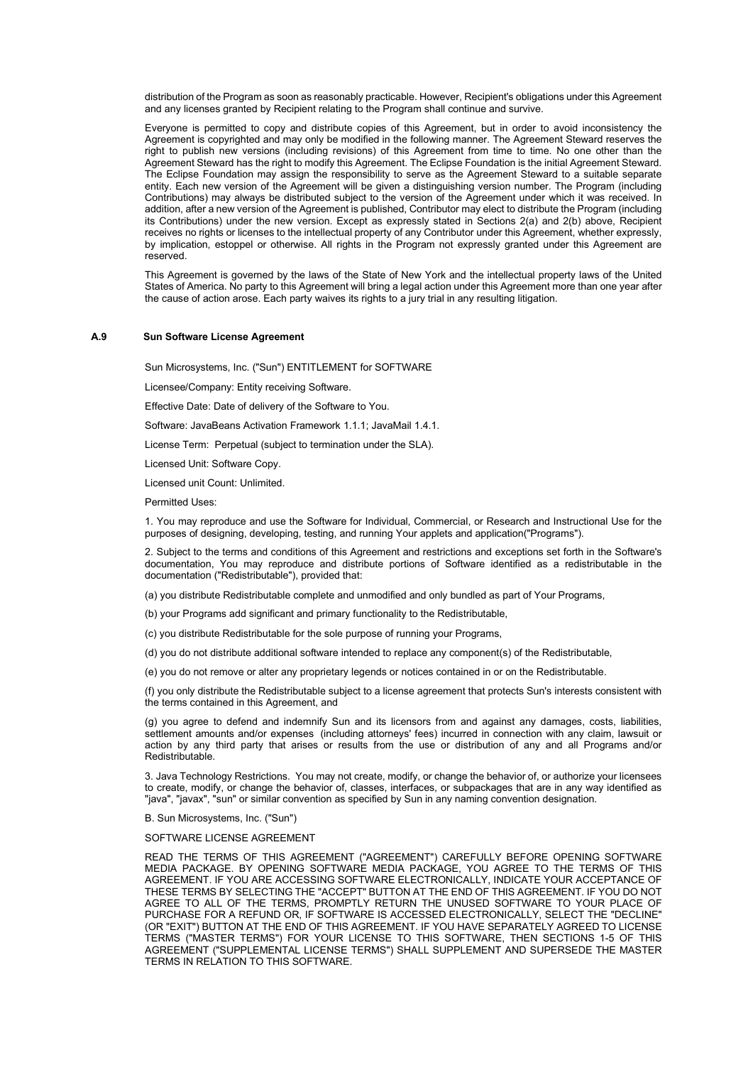distribution of the Program as soon as reasonably practicable. However, Recipient's obligations under this Agreement and any licenses granted by Recipient relating to the Program shall continue and survive.

Everyone is permitted to copy and distribute copies of this Agreement, but in order to avoid inconsistency the Agreement is copyrighted and may only be modified in the following manner. The Agreement Steward reserves the right to publish new versions (including revisions) of this Agreement from time to time. No one other than the Agreement Steward has the right to modify this Agreement. The Eclipse Foundation is the initial Agreement Steward. The Eclipse Foundation may assign the responsibility to serve as the Agreement Steward to a suitable separate entity. Each new version of the Agreement will be given a distinguishing version number. The Program (including Contributions) may always be distributed subject to the version of the Agreement under which it was received. In addition, after a new version of the Agreement is published, Contributor may elect to distribute the Program (including its Contributions) under the new version. Except as expressly stated in Sections 2(a) and 2(b) above, Recipient receives no rights or licenses to the intellectual property of any Contributor under this Agreement, whether expressly, by implication, estoppel or otherwise. All rights in the Program not expressly granted under this Agreement are reserved.

This Agreement is governed by the laws of the State of New York and the intellectual property laws of the United States of America. No party to this Agreement will bring a legal action under this Agreement more than one year after the cause of action arose. Each party waives its rights to a jury trial in any resulting litigation.

#### **A.9 Sun Software License Agreement**

Sun Microsystems, Inc. ("Sun") ENTITLEMENT for SOFTWARE

Licensee/Company: Entity receiving Software.

Effective Date: Date of delivery of the Software to You.

Software: JavaBeans Activation Framework 1.1.1; JavaMail 1.4.1.

License Term: Perpetual (subject to termination under the SLA).

Licensed Unit: Software Copy.

Licensed unit Count: Unlimited.

Permitted Uses:

1. You may reproduce and use the Software for Individual, Commercial, or Research and Instructional Use for the purposes of designing, developing, testing, and running Your applets and application("Programs").

2. Subject to the terms and conditions of this Agreement and restrictions and exceptions set forth in the Software's documentation, You may reproduce and distribute portions of Software identified as a redistributable in the documentation ("Redistributable"), provided that:

(a) you distribute Redistributable complete and unmodified and only bundled as part of Your Programs,

(b) your Programs add significant and primary functionality to the Redistributable,

(c) you distribute Redistributable for the sole purpose of running your Programs,

(d) you do not distribute additional software intended to replace any component(s) of the Redistributable,

(e) you do not remove or alter any proprietary legends or notices contained in or on the Redistributable.

(f) you only distribute the Redistributable subject to a license agreement that protects Sun's interests consistent with the terms contained in this Agreement, and

(g) you agree to defend and indemnify Sun and its licensors from and against any damages, costs, liabilities, settlement amounts and/or expenses (including attorneys' fees) incurred in connection with any claim, lawsuit or action by any third party that arises or results from the use or distribution of any and all Programs and/or Redistributable.

3. Java Technology Restrictions. You may not create, modify, or change the behavior of, or authorize your licensees to create, modify, or change the behavior of, classes, interfaces, or subpackages that are in any way identified as "java", "javax", "sun" or similar convention as specified by Sun in any naming convention designation.

B. Sun Microsystems, Inc. ("Sun")

SOFTWARE LICENSE AGREEMENT

READ THE TERMS OF THIS AGREEMENT ("AGREEMENT") CAREFULLY BEFORE OPENING SOFTWARE MEDIA PACKAGE. BY OPENING SOFTWARE MEDIA PACKAGE, YOU AGREE TO THE TERMS OF THIS AGREEMENT. IF YOU ARE ACCESSING SOFTWARE ELECTRONICALLY, INDICATE YOUR ACCEPTANCE OF THESE TERMS BY SELECTING THE "ACCEPT" BUTTON AT THE END OF THIS AGREEMENT. IF YOU DO NOT AGREE TO ALL OF THE TERMS, PROMPTLY RETURN THE UNUSED SOFTWARE TO YOUR PLACE OF PURCHASE FOR A REFUND OR, IF SOFTWARE IS ACCESSED ELECTRONICALLY, SELECT THE "DECLINE" (OR "EXIT") BUTTON AT THE END OF THIS AGREEMENT. IF YOU HAVE SEPARATELY AGREED TO LICENSE TERMS ("MASTER TERMS") FOR YOUR LICENSE TO THIS SOFTWARE, THEN SECTIONS 1-5 OF THIS AGREEMENT ("SUPPLEMENTAL LICENSE TERMS") SHALL SUPPLEMENT AND SUPERSEDE THE MASTER TERMS IN RELATION TO THIS SOFTWARE.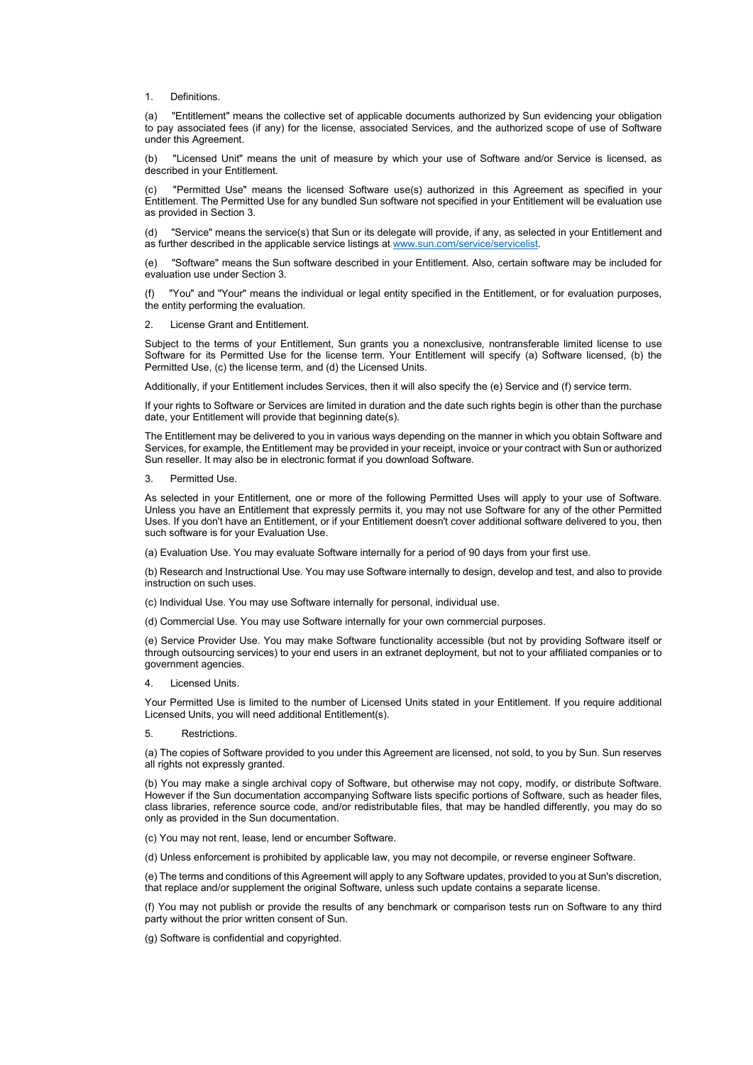#### 1. Definitions.

(a) "Entitlement" means the collective set of applicable documents authorized by Sun evidencing your obligation to pay associated fees (if any) for the license, associated Services, and the authorized scope of use of Software under this Agreement.

(b) "Licensed Unit" means the unit of measure by which your use of Software and/or Service is licensed, as described in your Entitlement.

(c) "Permitted Use" means the licensed Software use(s) authorized in this Agreement as specified in your Entitlement. The Permitted Use for any bundled Sun software not specified in your Entitlement will be evaluation use as provided in Section 3.

(d) "Service" means the service(s) that Sun or its delegate will provide, if any, as selected in your Entitlement and as further described in the applicable service listings a[t www.sun.com/service/servicelist.](http://www.sun.com/service/servicelist)

(e) "Software" means the Sun software described in your Entitlement. Also, certain software may be included for evaluation use under Section 3.

"You" and "Your" means the individual or legal entity specified in the Entitlement, or for evaluation purposes, the entity performing the evaluation.

2. License Grant and Entitlement.

Subject to the terms of your Entitlement, Sun grants you a nonexclusive, nontransferable limited license to use Software for its Permitted Use for the license term. Your Entitlement will specify (a) Software licensed, (b) the Permitted Use, (c) the license term, and (d) the Licensed Units.

Additionally, if your Entitlement includes Services, then it will also specify the (e) Service and (f) service term.

If your rights to Software or Services are limited in duration and the date such rights begin is other than the purchase date, your Entitlement will provide that beginning date(s).

The Entitlement may be delivered to you in various ways depending on the manner in which you obtain Software and Services, for example, the Entitlement may be provided in your receipt, invoice or your contract with Sun or authorized Sun reseller. It may also be in electronic format if you download Software.

#### 3. Permitted Use.

As selected in your Entitlement, one or more of the following Permitted Uses will apply to your use of Software. Unless you have an Entitlement that expressly permits it, you may not use Software for any of the other Permitted Uses. If you don't have an Entitlement, or if your Entitlement doesn't cover additional software delivered to you, then such software is for your Evaluation Use.

(a) Evaluation Use. You may evaluate Software internally for a period of 90 days from your first use.

(b) Research and Instructional Use. You may use Software internally to design, develop and test, and also to provide instruction on such uses.

(c) Individual Use. You may use Software internally for personal, individual use.

(d) Commercial Use. You may use Software internally for your own commercial purposes.

(e) Service Provider Use. You may make Software functionality accessible (but not by providing Software itself or through outsourcing services) to your end users in an extranet deployment, but not to your affiliated companies or to government agencies.

4. Licensed Units.

Your Permitted Use is limited to the number of Licensed Units stated in your Entitlement. If you require additional Licensed Units, you will need additional Entitlement(s).

5. Restrictions.

(a) The copies of Software provided to you under this Agreement are licensed, not sold, to you by Sun. Sun reserves all rights not expressly granted.

(b) You may make a single archival copy of Software, but otherwise may not copy, modify, or distribute Software. However if the Sun documentation accompanying Software lists specific portions of Software, such as header files, class libraries, reference source code, and/or redistributable files, that may be handled differently, you may do so only as provided in the Sun documentation.

(c) You may not rent, lease, lend or encumber Software.

(d) Unless enforcement is prohibited by applicable law, you may not decompile, or reverse engineer Software.

(e) The terms and conditions of this Agreement will apply to any Software updates, provided to you at Sun's discretion, that replace and/or supplement the original Software, unless such update contains a separate license.

(f) You may not publish or provide the results of any benchmark or comparison tests run on Software to any third party without the prior written consent of Sun.

(g) Software is confidential and copyrighted.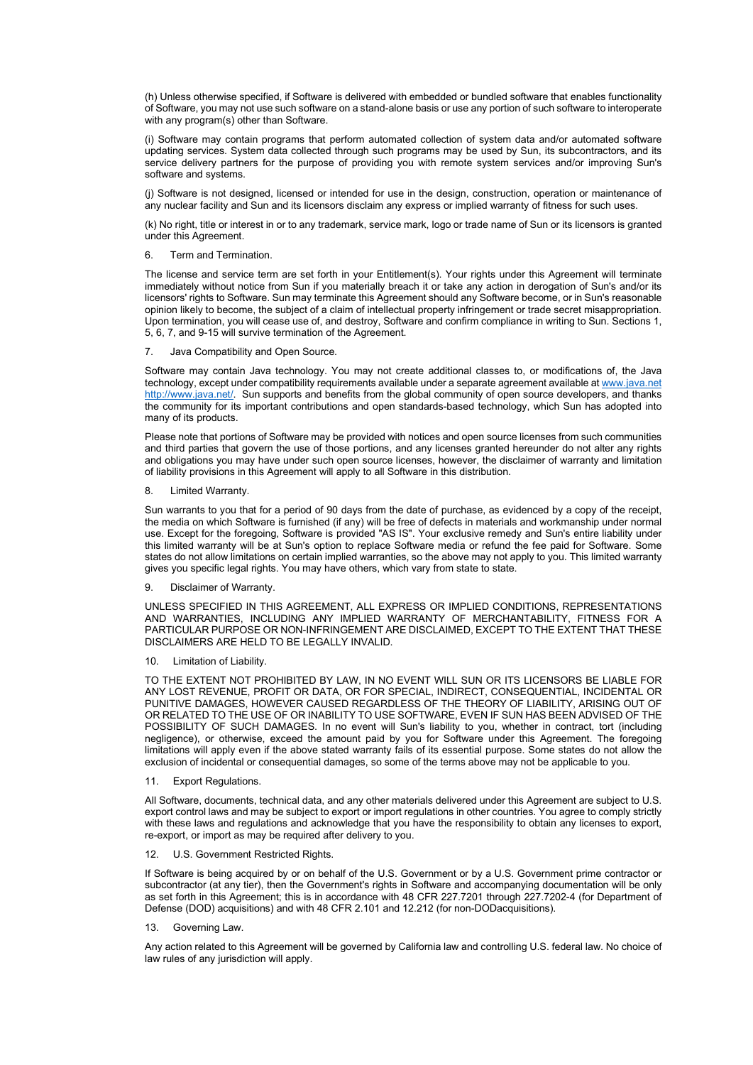(h) Unless otherwise specified, if Software is delivered with embedded or bundled software that enables functionality of Software, you may not use such software on a stand-alone basis or use any portion of such software to interoperate with any program(s) other than Software.

(i) Software may contain programs that perform automated collection of system data and/or automated software updating services. System data collected through such programs may be used by Sun, its subcontractors, and its service delivery partners for the purpose of providing you with remote system services and/or improving Sun's software and systems.

(j) Software is not designed, licensed or intended for use in the design, construction, operation or maintenance of any nuclear facility and Sun and its licensors disclaim any express or implied warranty of fitness for such uses.

(k) No right, title or interest in or to any trademark, service mark, logo or trade name of Sun or its licensors is granted under this Agreement.

#### Term and Termination.

The license and service term are set forth in your Entitlement(s). Your rights under this Agreement will terminate immediately without notice from Sun if you materially breach it or take any action in derogation of Sun's and/or its licensors' rights to Software. Sun may terminate this Agreement should any Software become, or in Sun's reasonable opinion likely to become, the subject of a claim of intellectual property infringement or trade secret misappropriation. Upon termination, you will cease use of, and destroy, Software and confirm compliance in writing to Sun. Sections 1, 5, 6, 7, and 9-15 will survive termination of the Agreement.

#### 7. Java Compatibility and Open Source.

Software may contain Java technology. You may not create additional classes to, or modifications of, the Java technology, except under compatibility requirements available under a separate agreement available a[t www.java.net](http://www.java.net/) [http://www.java.net/.](http://www.java.net/) Sun supports and benefits from the global community of open source developers, and thanks the community for its important contributions and open standards-based technology, which Sun has adopted into many of its products.

Please note that portions of Software may be provided with notices and open source licenses from such communities and third parties that govern the use of those portions, and any licenses granted hereunder do not alter any rights and obligations you may have under such open source licenses, however, the disclaimer of warranty and limitation of liability provisions in this Agreement will apply to all Software in this distribution.

#### 8. Limited Warranty.

Sun warrants to you that for a period of 90 days from the date of purchase, as evidenced by a copy of the receipt, the media on which Software is furnished (if any) will be free of defects in materials and workmanship under normal use. Except for the foregoing, Software is provided "AS IS". Your exclusive remedy and Sun's entire liability under this limited warranty will be at Sun's option to replace Software media or refund the fee paid for Software. Some states do not allow limitations on certain implied warranties, so the above may not apply to you. This limited warranty gives you specific legal rights. You may have others, which vary from state to state.

#### 9. Disclaimer of Warranty.

UNLESS SPECIFIED IN THIS AGREEMENT, ALL EXPRESS OR IMPLIED CONDITIONS, REPRESENTATIONS AND WARRANTIES, INCLUDING ANY IMPLIED WARRANTY OF MERCHANTABILITY, FITNESS FOR A PARTICULAR PURPOSE OR NON-INFRINGEMENT ARE DISCLAIMED, EXCEPT TO THE EXTENT THAT THESE DISCLAIMERS ARE HELD TO BE LEGALLY INVALID.

#### 10. Limitation of Liability.

TO THE EXTENT NOT PROHIBITED BY LAW, IN NO EVENT WILL SUN OR ITS LICENSORS BE LIABLE FOR ANY LOST REVENUE, PROFIT OR DATA, OR FOR SPECIAL, INDIRECT, CONSEQUENTIAL, INCIDENTAL OR PUNITIVE DAMAGES, HOWEVER CAUSED REGARDLESS OF THE THEORY OF LIABILITY, ARISING OUT OF OR RELATED TO THE USE OF OR INABILITY TO USE SOFTWARE, EVEN IF SUN HAS BEEN ADVISED OF THE POSSIBILITY OF SUCH DAMAGES. In no event will Sun's liability to you, whether in contract, tort (including negligence), or otherwise, exceed the amount paid by you for Software under this Agreement. The foregoing limitations will apply even if the above stated warranty fails of its essential purpose. Some states do not allow the exclusion of incidental or consequential damages, so some of the terms above may not be applicable to you.

#### **Export Regulations.**

All Software, documents, technical data, and any other materials delivered under this Agreement are subject to U.S. export control laws and may be subject to export or import regulations in other countries. You agree to comply strictly with these laws and regulations and acknowledge that you have the responsibility to obtain any licenses to export, re-export, or import as may be required after delivery to you.

#### 12. U.S. Government Restricted Rights.

If Software is being acquired by or on behalf of the U.S. Government or by a U.S. Government prime contractor or subcontractor (at any tier), then the Government's rights in Software and accompanying documentation will be only as set forth in this Agreement; this is in accordance with 48 CFR 227.7201 through 227.7202-4 (for Department of Defense (DOD) acquisitions) and with 48 CFR 2.101 and 12.212 (for non-DODacquisitions).

#### 13. Governing Law.

Any action related to this Agreement will be governed by California law and controlling U.S. federal law. No choice of law rules of any jurisdiction will apply.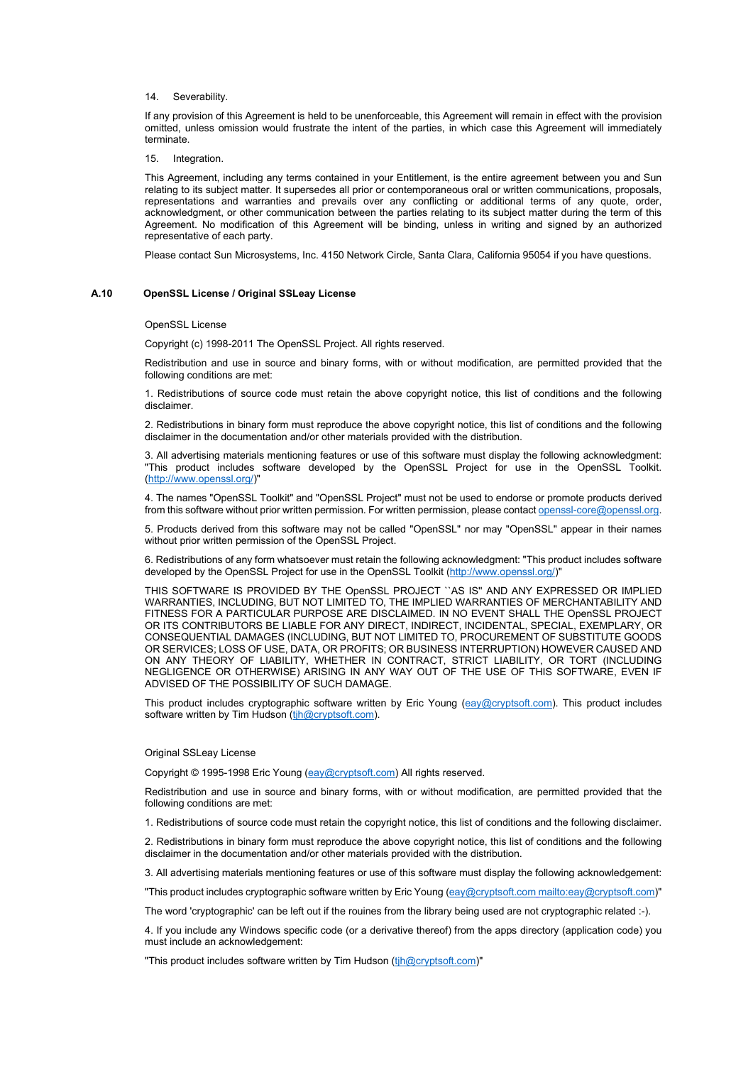#### 14. Severability.

If any provision of this Agreement is held to be unenforceable, this Agreement will remain in effect with the provision omitted, unless omission would frustrate the intent of the parties, in which case this Agreement will immediately terminate.

15. Integration.

This Agreement, including any terms contained in your Entitlement, is the entire agreement between you and Sun relating to its subject matter. It supersedes all prior or contemporaneous oral or written communications, proposals, representations and warranties and prevails over any conflicting or additional terms of any quote, order, acknowledgment, or other communication between the parties relating to its subject matter during the term of this Agreement. No modification of this Agreement will be binding, unless in writing and signed by an authorized representative of each party.

Please contact Sun Microsystems, Inc. 4150 Network Circle, Santa Clara, California 95054 if you have questions.

#### **A.10 OpenSSL License / Original SSLeay License**

#### OpenSSL License

Copyright (c) 1998-2011 The OpenSSL Project. All rights reserved.

Redistribution and use in source and binary forms, with or without modification, are permitted provided that the following conditions are met:

1. Redistributions of source code must retain the above copyright notice, this list of conditions and the following disclaimer.

2. Redistributions in binary form must reproduce the above copyright notice, this list of conditions and the following disclaimer in the documentation and/or other materials provided with the distribution.

3. All advertising materials mentioning features or use of this software must display the following acknowledgment: "This product includes software developed by the OpenSSL Project for use in the OpenSSL Toolkit. [\(http://www.openssl.org/\)](http://www.openssl.org/)"

4. The names "OpenSSL Toolkit" and "OpenSSL Project" must not be used to endorse or promote products derived from this software without prior written permission. For written permission, please contac[t openssl-core@openssl.org.](mailto:openssl-core@openssl.org)

5. Products derived from this software may not be called "OpenSSL" nor may "OpenSSL" appear in their names without prior written permission of the OpenSSL Project.

6. Redistributions of any form whatsoever must retain the following acknowledgment: "This product includes software developed by the OpenSSL Project for use in the OpenSSL Toolkit [\(http://www.openssl.org/\)](http://www.openssl.org/)"

THIS SOFTWARE IS PROVIDED BY THE OpenSSL PROJECT ``AS IS'' AND ANY EXPRESSED OR IMPLIED WARRANTIES, INCLUDING, BUT NOT LIMITED TO, THE IMPLIED WARRANTIES OF MERCHANTABILITY AND FITNESS FOR A PARTICULAR PURPOSE ARE DISCLAIMED. IN NO EVENT SHALL THE OpenSSL PROJECT OR ITS CONTRIBUTORS BE LIABLE FOR ANY DIRECT, INDIRECT, INCIDENTAL, SPECIAL, EXEMPLARY, OR CONSEQUENTIAL DAMAGES (INCLUDING, BUT NOT LIMITED TO, PROCUREMENT OF SUBSTITUTE GOODS OR SERVICES; LOSS OF USE, DATA, OR PROFITS; OR BUSINESS INTERRUPTION) HOWEVER CAUSED AND ON ANY THEORY OF LIABILITY, WHETHER IN CONTRACT, STRICT LIABILITY, OR TORT (INCLUDING NEGLIGENCE OR OTHERWISE) ARISING IN ANY WAY OUT OF THE USE OF THIS SOFTWARE, EVEN IF ADVISED OF THE POSSIBILITY OF SUCH DAMAGE.

This product includes cryptographic software written by Eric Young [\(eay@cryptsoft.com\)](mailto:eay@cryptsoft.com). This product includes software written by Tim Hudson (tih@cryptsoft.com).

#### Original SSLeay License

Copyright © 1995-1998 Eric Young [\(eay@cryptsoft.com\)](mailto:eay@cryptsoft.com) All rights reserved.

Redistribution and use in source and binary forms, with or without modification, are permitted provided that the following conditions are met:

1. Redistributions of source code must retain the copyright notice, this list of conditions and the following disclaimer.

2. Redistributions in binary form must reproduce the above copyright notice, this list of conditions and the following disclaimer in the documentation and/or other materials provided with the distribution.

3. All advertising materials mentioning features or use of this software must display the following acknowledgement:

"This product includes cryptographic software written by Eric Young [\(eay@cryptsoft.com](mailto:eay@cryptsoft.com) [mailto:eay@cryptsoft.com\)](mailto:eay@cryptsoft.com)"

The word 'cryptographic' can be left out if the rouines from the library being used are not cryptographic related :-).

4. If you include any Windows specific code (or a derivative thereof) from the apps directory (application code) you must include an acknowledgement:

"This product includes software written by Tim Hudson [\(tjh@cryptsoft.com\)](mailto:tjh@cryptsoft.com)"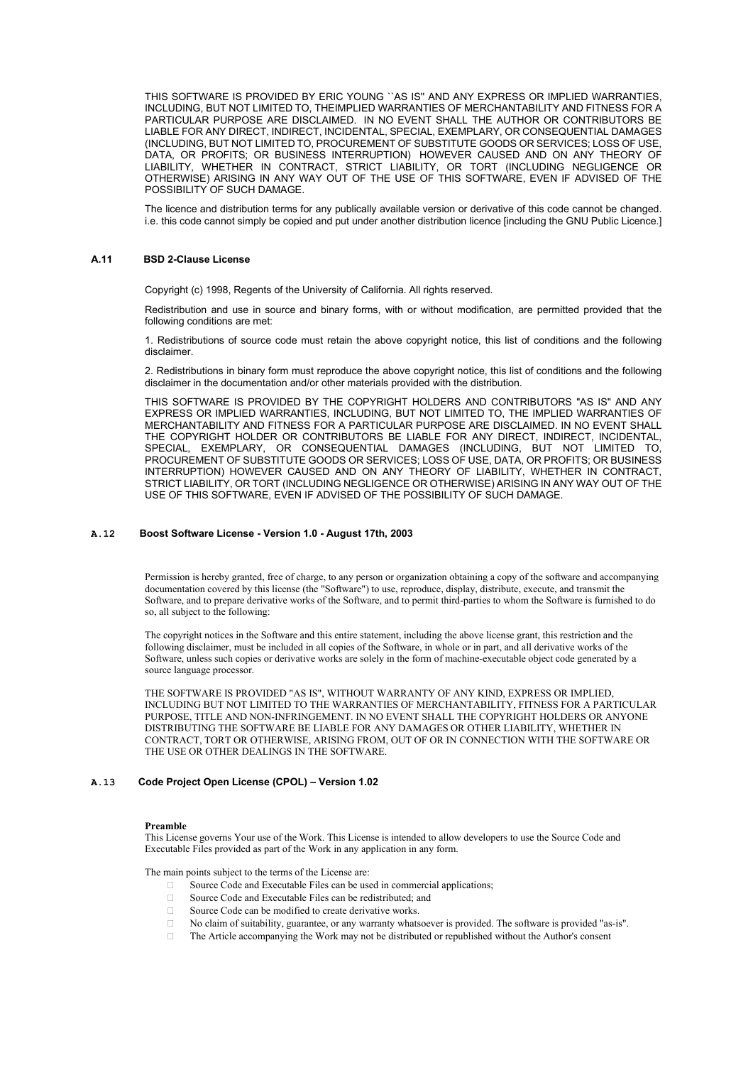THIS SOFTWARE IS PROVIDED BY ERIC YOUNG "AS IS" AND ANY EXPRESS OR IMPLIED WARRANTIES. INCLUDING, BUT NOT LIMITED TO, THEIMPLIED WARRANTIES OF MERCHANTABILITY AND FITNESS FOR A PARTICULAR PURPOSE ARE DISCLAIMED. IN NO EVENT SHALL THE AUTHOR OR CONTRIBUTORS BE LIABLE FOR ANY DIRECT, INDIRECT, INCIDENTAL, SPECIAL, EXEMPLARY, OR CONSEQUENTIAL DAMAGES (INCLUDING, BUT NOT LIMITED TO, PROCUREMENT OF SUBSTITUTE GOODS OR SERVICES; LOSS OF USE, DATA, OR PROFITS; OR BUSINESS INTERRUPTION) HOWEVER CAUSED AND ON ANY THEORY OF LIABILITY, WHETHER IN CONTRACT, STRICT LIABILITY, OR TORT (INCLUDING NEGLIGENCE OR OTHERWISE) ARISING IN ANY WAY OUT OF THE USE OF THIS SOFTWARE, EVEN IF ADVISED OF THE POSSIBILITY OF SUCH DAMAGE.

The licence and distribution terms for any publically available version or derivative of this code cannot be changed. i.e. this code cannot simply be copied and put under another distribution licence [including the GNU Public Licence.]

#### **A.11 BSD 2-Clause License**

Copyright (c) 1998, Regents of the University of California. All rights reserved.

Redistribution and use in source and binary forms, with or without modification, are permitted provided that the following conditions are met:

1. Redistributions of source code must retain the above copyright notice, this list of conditions and the following disclaimer.

2. Redistributions in binary form must reproduce the above copyright notice, this list of conditions and the following disclaimer in the documentation and/or other materials provided with the distribution.

THIS SOFTWARE IS PROVIDED BY THE COPYRIGHT HOLDERS AND CONTRIBUTORS "AS IS" AND ANY EXPRESS OR IMPLIED WARRANTIES, INCLUDING, BUT NOT LIMITED TO, THE IMPLIED WARRANTIES OF MERCHANTABILITY AND FITNESS FOR A PARTICULAR PURPOSE ARE DISCLAIMED. IN NO EVENT SHALL THE COPYRIGHT HOLDER OR CONTRIBUTORS BE LIABLE FOR ANY DIRECT, INDIRECT, INCIDENTAL, SPECIAL, EXEMPLARY, OR CONSEQUENTIAL DAMAGES (INCLUDING, BUT NOT LIMITED TO, PROCUREMENT OF SUBSTITUTE GOODS OR SERVICES; LOSS OF USE, DATA, OR PROFITS; OR BUSINESS INTERRUPTION) HOWEVER CAUSED AND ON ANY THEORY OF LIABILITY, WHETHER IN CONTRACT, STRICT LIABILITY, OR TORT (INCLUDING NEGLIGENCE OR OTHERWISE) ARISING IN ANY WAY OUT OF THE USE OF THIS SOFTWARE, EVEN IF ADVISED OF THE POSSIBILITY OF SUCH DAMAGE.

#### **A.12 Boost Software License - Version 1.0 - August 17th, 2003**

Permission is hereby granted, free of charge, to any person or organization obtaining a copy of the software and accompanying documentation covered by this license (the "Software") to use, reproduce, display, distribute, execute, and transmit the Software, and to prepare derivative works of the Software, and to permit third-parties to whom the Software is furnished to do so, all subject to the following:

The copyright notices in the Software and this entire statement, including the above license grant, this restriction and the following disclaimer, must be included in all copies of the Software, in whole or in part, and all derivative works of the Software, unless such copies or derivative works are solely in the form of machine-executable object code generated by a source language processor.

THE SOFTWARE IS PROVIDED "AS IS", WITHOUT WARRANTY OF ANY KIND, EXPRESS OR IMPLIED, INCLUDING BUT NOT LIMITED TO THE WARRANTIES OF MERCHANTABILITY, FITNESS FOR A PARTICULAR PURPOSE, TITLE AND NON-INFRINGEMENT. IN NO EVENT SHALL THE COPYRIGHT HOLDERS OR ANYONE DISTRIBUTING THE SOFTWARE BE LIABLE FOR ANY DAMAGES OR OTHER LIABILITY, WHETHER IN CONTRACT, TORT OR OTHERWISE, ARISING FROM, OUT OF OR IN CONNECTION WITH THE SOFTWARE OR THE USE OR OTHER DEALINGS IN THE SOFTWARE.

#### **A.13 Code Project Open License (CPOL) – Version 1.02**

#### **Preamble**

This License governs Your use of the Work. This License is intended to allow developers to use the Source Code and Executable Files provided as part of the Work in any application in any form.

The main points subject to the terms of the License are:

- $\Box$  Source Code and Executable Files can be used in commercial applications;
- □ Source Code and Executable Files can be redistributed; and
- $\Box$  Source Code can be modified to create derivative works.
- No claim of suitability, guarantee, or any warranty whatsoever is provided. The software is provided "as-is".
- $\Box$  The Article accompanying the Work may not be distributed or republished without the Author's consent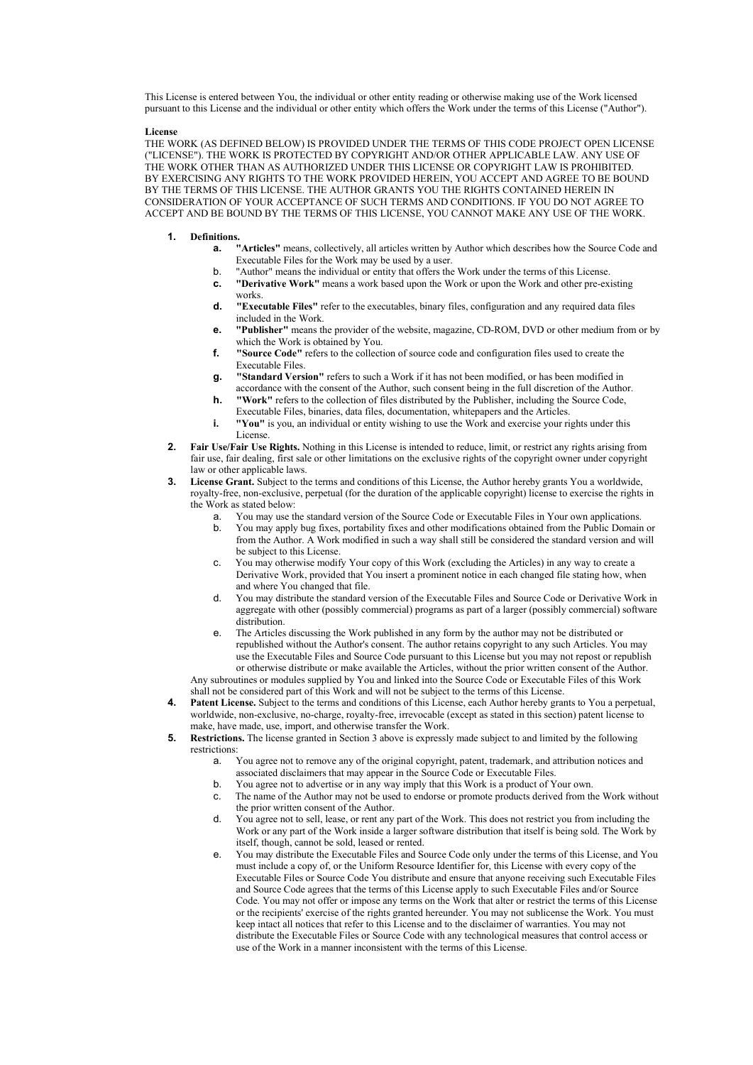This License is entered between You, the individual or other entity reading or otherwise making use of the Work licensed pursuant to this License and the individual or other entity which offers the Work under the terms of this License ("Author").

#### **License**

THE WORK (AS DEFINED BELOW) IS PROVIDED UNDER THE TERMS OF THIS CODE PROJECT OPEN LICENSE ("LICENSE"). THE WORK IS PROTECTED BY COPYRIGHT AND/OR OTHER APPLICABLE LAW. ANY USE OF THE WORK OTHER THAN AS AUTHORIZED UNDER THIS LICENSE OR COPYRIGHT LAW IS PROHIBITED. BY EXERCISING ANY RIGHTS TO THE WORK PROVIDED HEREIN, YOU ACCEPT AND AGREE TO BE BOUND BY THE TERMS OF THIS LICENSE. THE AUTHOR GRANTS YOU THE RIGHTS CONTAINED HEREIN IN CONSIDERATION OF YOUR ACCEPTANCE OF SUCH TERMS AND CONDITIONS. IF YOU DO NOT AGREE TO ACCEPT AND BE BOUND BY THE TERMS OF THIS LICENSE, YOU CANNOT MAKE ANY USE OF THE WORK.

- **1. Definitions.**
	- **a. "Articles"** means, collectively, all articles written by Author which describes how the Source Code and Executable Files for the Work may be used by a user.
	- b. "Author" means the individual or entity that offers the Work under the terms of this License. **c. "Derivative Work"** means a work based upon the Work or upon the Work and other pre-existing works.
	- **d. "Executable Files"** refer to the executables, binary files, configuration and any required data files included in the Work.
	- **e. "Publisher"** means the provider of the website, magazine, CD-ROM, DVD or other medium from or by which the Work is obtained by You.
	- **f. "Source Code"** refers to the collection of source code and configuration files used to create the Executable Files.
	- **g. "Standard Version"** refers to such a Work if it has not been modified, or has been modified in accordance with the consent of the Author, such consent being in the full discretion of the Author.
	- **h. "Work"** refers to the collection of files distributed by the Publisher, including the Source Code, Executable Files, binaries, data files, documentation, whitepapers and the Articles.
	- **i. "You"** is you, an individual or entity wishing to use the Work and exercise your rights under this License.
- **2. Fair Use/Fair Use Rights.** Nothing in this License is intended to reduce, limit, or restrict any rights arising from fair use, fair dealing, first sale or other limitations on the exclusive rights of the copyright owner under copyright law or other applicable laws.
- **3. License Grant.** Subject to the terms and conditions of this License, the Author hereby grants You a worldwide, royalty-free, non-exclusive, perpetual (for the duration of the applicable copyright) license to exercise the rights in the Work as stated below:
	- a. You may use the standard version of the Source Code or Executable Files in Your own applications.
	- b. You may apply bug fixes, portability fixes and other modifications obtained from the Public Domain or from the Author. A Work modified in such a way shall still be considered the standard version and will be subject to this License.
	- c. You may otherwise modify Your copy of this Work (excluding the Articles) in any way to create a Derivative Work, provided that You insert a prominent notice in each changed file stating how, when and where You changed that file.
	- d. You may distribute the standard version of the Executable Files and Source Code or Derivative Work in aggregate with other (possibly commercial) programs as part of a larger (possibly commercial) software distribution.
	- e. The Articles discussing the Work published in any form by the author may not be distributed or republished without the Author's consent. The author retains copyright to any such Articles. You may use the Executable Files and Source Code pursuant to this License but you may not repost or republish or otherwise distribute or make available the Articles, without the prior written consent of the Author. Any subroutines or modules supplied by You and linked into the Source Code or Executable Files of this Work
	- shall not be considered part of this Work and will not be subject to the terms of this License.
- **4. Patent License.** Subject to the terms and conditions of this License, each Author hereby grants to You a perpetual, worldwide, non-exclusive, no-charge, royalty-free, irrevocable (except as stated in this section) patent license to make, have made, use, import, and otherwise transfer the Work.
- **5. Restrictions.** The license granted in Section 3 above is expressly made subject to and limited by the following restrictions:
	- a. You agree not to remove any of the original copyright, patent, trademark, and attribution notices and associated disclaimers that may appear in the Source Code or Executable Files.
	- b. You agree not to advertise or in any way imply that this Work is a product of Your own.
	- c. The name of the Author may not be used to endorse or promote products derived from the Work without the prior written consent of the Author.
	- d. You agree not to sell, lease, or rent any part of the Work. This does not restrict you from including the Work or any part of the Work inside a larger software distribution that itself is being sold. The Work by itself, though, cannot be sold, leased or rented.
	- e. You may distribute the Executable Files and Source Code only under the terms of this License, and You must include a copy of, or the Uniform Resource Identifier for, this License with every copy of the Executable Files or Source Code You distribute and ensure that anyone receiving such Executable Files and Source Code agrees that the terms of this License apply to such Executable Files and/or Source Code. You may not offer or impose any terms on the Work that alter or restrict the terms of this License or the recipients' exercise of the rights granted hereunder. You may not sublicense the Work. You must keep intact all notices that refer to this License and to the disclaimer of warranties. You may not distribute the Executable Files or Source Code with any technological measures that control access or use of the Work in a manner inconsistent with the terms of this License.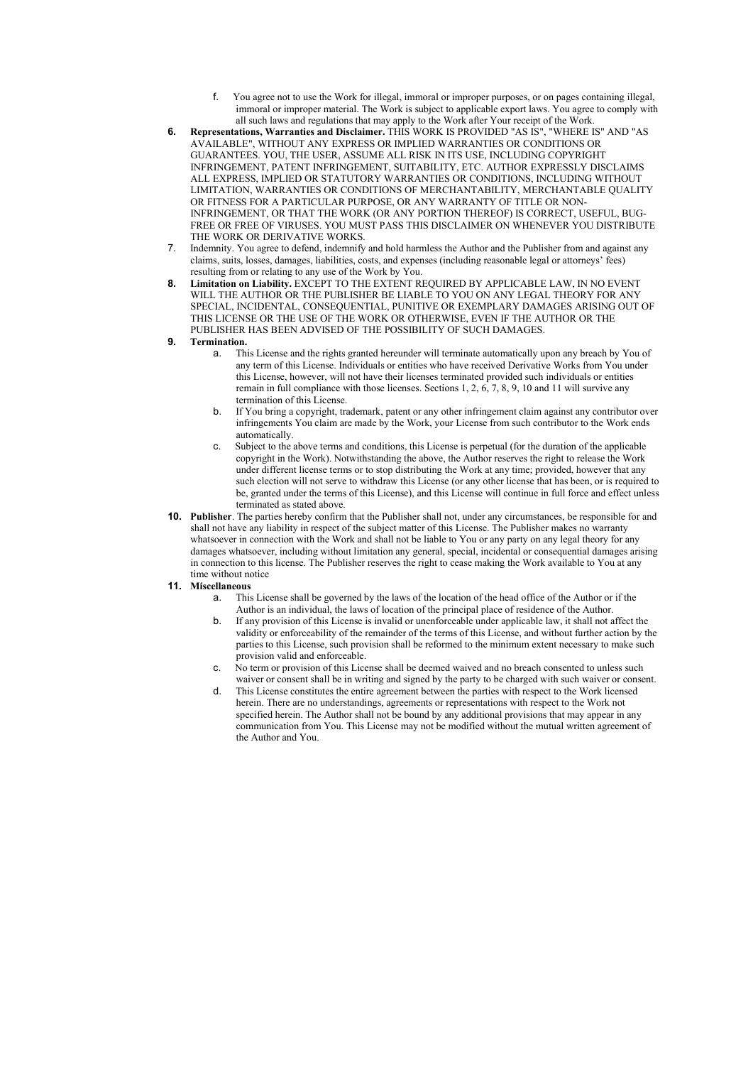- f. You agree not to use the Work for illegal, immoral or improper purposes, or on pages containing illegal, immoral or improper material. The Work is subject to applicable export laws. You agree to comply with all such laws and regulations that may apply to the Work after Your receipt of the Work.
- **6.** Representations, Warranties and Disclaimer. THIS WORK IS PROVIDED "AS IS", "WHERE IS" AND "AS AVAILABLE", WITHOUT ANY EXPRESS OR IMPLIED WARRANTIES OR CONDITIONS OR GUARANTEES. YOU, THE USER, ASSUME ALL RISK IN ITS USE, INCLUDING COPYRIGHT INFRINGEMENT, PATENT INFRINGEMENT, SUITABILITY, ETC. AUTHOR EXPRESSLY DISCLAIMS ALL EXPRESS, IMPLIED OR STATUTORY WARRANTIES OR CONDITIONS, INCLUDING WITHOUT LIMITATION, WARRANTIES OR CONDITIONS OF MERCHANTABILITY, MERCHANTABLE QUALITY OR FITNESS FOR A PARTICULAR PURPOSE, OR ANY WARRANTY OF TITLE OR NON-INFRINGEMENT, OR THAT THE WORK (OR ANY PORTION THEREOF) IS CORRECT, USEFUL, BUG-FREE OR FREE OF VIRUSES. YOU MUST PASS THIS DISCLAIMER ON WHENEVER YOU DISTRIBUTE THE WORK OR DERIVATIVE WORKS.
- 7. Indemnity. You agree to defend, indemnify and hold harmless the Author and the Publisher from and against any claims, suits, losses, damages, liabilities, costs, and expenses (including reasonable legal or attorneys' fees) resulting from or relating to any use of the Work by You.
- **8. Limitation on Liability.** EXCEPT TO THE EXTENT REQUIRED BY APPLICABLE LAW, IN NO EVENT WILL THE AUTHOR OR THE PUBLISHER BE LIABLE TO YOU ON ANY LEGAL THEORY FOR ANY SPECIAL, INCIDENTAL, CONSEQUENTIAL, PUNITIVE OR EXEMPLARY DAMAGES ARISING OUT OF THIS LICENSE OR THE USE OF THE WORK OR OTHERWISE, EVEN IF THE AUTHOR OR THE PUBLISHER HAS BEEN ADVISED OF THE POSSIBILITY OF SUCH DAMAGES.
- **9. Termination.**
	- a. This License and the rights granted hereunder will terminate automatically upon any breach by You of any term of this License. Individuals or entities who have received Derivative Works from You under this License, however, will not have their licenses terminated provided such individuals or entities remain in full compliance with those licenses. Sections  $1, 2, 6, 7, 8, 9, 10$  and  $11$  will survive any termination of this License.
	- b. If You bring a copyright, trademark, patent or any other infringement claim against any contributor over infringements You claim are made by the Work, your License from such contributor to the Work ends automatically.
	- c. Subject to the above terms and conditions, this License is perpetual (for the duration of the applicable copyright in the Work). Notwithstanding the above, the Author reserves the right to release the Work under different license terms or to stop distributing the Work at any time; provided, however that any such election will not serve to withdraw this License (or any other license that has been, or is required to be, granted under the terms of this License), and this License will continue in full force and effect unless terminated as stated above.
- **10. Publisher**. The parties hereby confirm that the Publisher shall not, under any circumstances, be responsible for and shall not have any liability in respect of the subject matter of this License. The Publisher makes no warranty whatsoever in connection with the Work and shall not be liable to You or any party on any legal theory for any damages whatsoever, including without limitation any general, special, incidental or consequential damages arising in connection to this license. The Publisher reserves the right to cease making the Work available to You at any time without notice
- **11. Miscellaneous**
	- a. This License shall be governed by the laws of the location of the head office of the Author or if the Author is an individual, the laws of location of the principal place of residence of the Author.
	- b. If any provision of this License is invalid or unenforceable under applicable law, it shall not affect the validity or enforceability of the remainder of the terms of this License, and without further action by the parties to this License, such provision shall be reformed to the minimum extent necessary to make such provision valid and enforceable.
	- c. No term or provision of this License shall be deemed waived and no breach consented to unless such waiver or consent shall be in writing and signed by the party to be charged with such waiver or consent.
	- d. This License constitutes the entire agreement between the parties with respect to the Work licensed herein. There are no understandings, agreements or representations with respect to the Work not specified herein. The Author shall not be bound by any additional provisions that may appear in any communication from You. This License may not be modified without the mutual written agreement of the Author and You.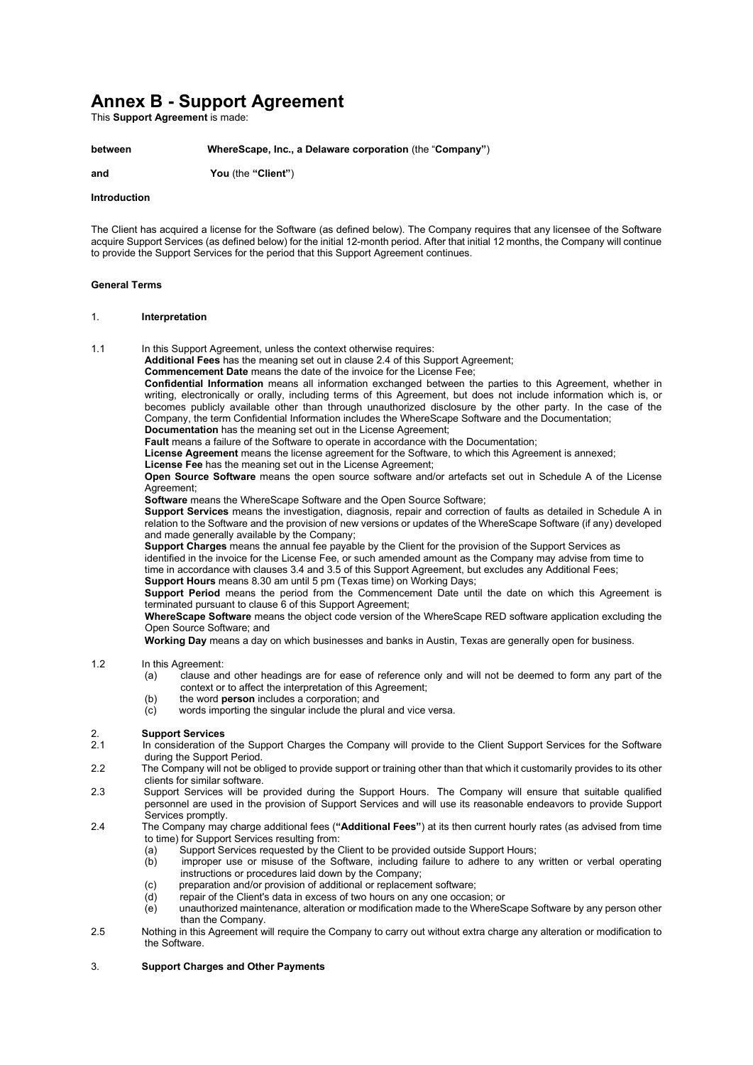### **Annex B - Support Agreement**

This **Support Agreement** is made:

**between WhereScape, Inc., a Delaware corporation** (the "**Company"**)

**and You** (the **"Client"**)

#### **Introduction**

The Client has acquired a license for the Software (as defined below). The Company requires that any licensee of the Software acquire Support Services (as defined below) for the initial 12-month period. After that initial 12 months, the Company will continue to provide the Support Services for the period that this Support Agreement continues.

#### **General Terms**

#### 1. **Interpretation**

1.1 In this Support Agreement, unless the context otherwise requires:

**Additional Fees** has the meaning set out in clause 2.4 of this Support Agreement;

**Commencement Date** means the date of the invoice for the License Fee;

**Confidential Information** means all information exchanged between the parties to this Agreement, whether in writing, electronically or orally, including terms of this Agreement, but does not include information which is, or becomes publicly available other than through unauthorized disclosure by the other party. In the case of the Company, the term Confidential Information includes the WhereScape Software and the Documentation; **Documentation** has the meaning set out in the License Agreement:

**Fault** means a failure of the Software to operate in accordance with the Documentation;

**License Agreement** means the license agreement for the Software, to which this Agreement is annexed;

**License Fee** has the meaning set out in the License Agreement;

**Open Source Software** means the open source software and/or artefacts set out in Schedule A of the License Agreement;

**Software** means the WhereScape Software and the Open Source Software;

**Support Services** means the investigation, diagnosis, repair and correction of faults as detailed in Schedule A in relation to the Software and the provision of new versions or updates of the WhereScape Software (if any) developed and made generally available by the Company;

**Support Charges** means the annual fee payable by the Client for the provision of the Support Services as

identified in the invoice for the License Fee, or such amended amount as the Company may advise from time to time in accordance with clauses 3.4 and 3.5 of this Support Agreement, but excludes any Additional Fees;

**Support Hours** means 8.30 am until 5 pm (Texas time) on Working Days;

**Support Period** means the period from the Commencement Date until the date on which this Agreement is terminated pursuant to clause 6 of this Support Agreement;

**WhereScape Software** means the object code version of the WhereScape RED software application excluding the Open Source Software; and

**Working Day** means a day on which businesses and banks in Austin, Texas are generally open for business.

- 1.2 In this Agreement:
	- (a) clause and other headings are for ease of reference only and will not be deemed to form any part of the context or to affect the interpretation of this Agreement;
	- (b) the word **person** includes a corporation; and (c) words importing the singular include the plura
	- words importing the singular include the plural and vice versa.

### 2. **Support Services**

- 2.1 In consideration of the Support Charges the Company will provide to the Client Support Services for the Software during the Support Period.
- 2.2 The Company will not be obliged to provide support or training other than that which it customarily provides to its other clients for similar software.
- 2.3 Support Services will be provided during the Support Hours. The Company will ensure that suitable qualified personnel are used in the provision of Support Services and will use its reasonable endeavors to provide Support Services promptly.

#### 2.4 The Company may charge additional fees (**"Additional Fees"**) at its then current hourly rates (as advised from time to time) for Support Services resulting from:

- (a) Support Services requested by the Client to be provided outside Support Hours;
- (b) improper use or misuse of the Software, including failure to adhere to any written or verbal operating instructions or procedures laid down by the Company;
- (c) preparation and/or provision of additional or replacement software;
- (d) repair of the Client's data in excess of two hours on any one occasion; or
- (e) unauthorized maintenance, alteration or modification made to the WhereScape Software by any person other than the Company.
- 2.5 Nothing in this Agreement will require the Company to carry out without extra charge any alteration or modification to the Software.

#### 3. **Support Charges and Other Payments**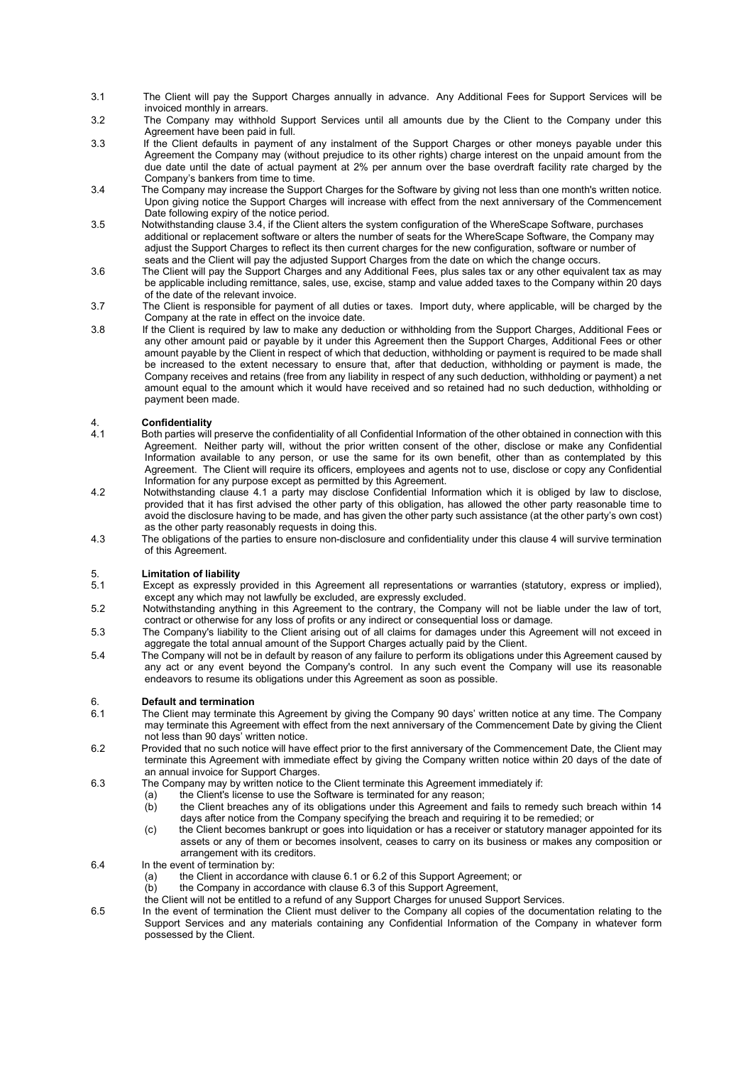- 3.1 The Client will pay the Support Charges annually in advance. Any Additional Fees for Support Services will be invoiced monthly in arrears.
- 3.2 The Company may withhold Support Services until all amounts due by the Client to the Company under this Agreement have been paid in full.
- 3.3 If the Client defaults in payment of any instalment of the Support Charges or other moneys payable under this Agreement the Company may (without prejudice to its other rights) charge interest on the unpaid amount from the due date until the date of actual payment at 2% per annum over the base overdraft facility rate charged by the Company's bankers from time to time.
- 3.4 The Company may increase the Support Charges for the Software by giving not less than one month's written notice. Upon giving notice the Support Charges will increase with effect from the next anniversary of the Commencement Date following expiry of the notice period.
- 3.5 Notwithstanding clause 3.4, if the Client alters the system configuration of the WhereScape Software, purchases additional or replacement software or alters the number of seats for the WhereScape Software, the Company may adjust the Support Charges to reflect its then current charges for the new configuration, software or number of seats and the Client will pay the adjusted Support Charges from the date on which the change occurs.
- 3.6 The Client will pay the Support Charges and any Additional Fees, plus sales tax or any other equivalent tax as may be applicable including remittance, sales, use, excise, stamp and value added taxes to the Company within 20 days of the date of the relevant invoice.
- 3.7 The Client is responsible for payment of all duties or taxes. Import duty, where applicable, will be charged by the Company at the rate in effect on the invoice date.
- 3.8 If the Client is required by law to make any deduction or withholding from the Support Charges, Additional Fees or any other amount paid or payable by it under this Agreement then the Support Charges, Additional Fees or other amount payable by the Client in respect of which that deduction, withholding or payment is required to be made shall be increased to the extent necessary to ensure that, after that deduction, withholding or payment is made, the Company receives and retains (free from any liability in respect of any such deduction, withholding or payment) a net amount equal to the amount which it would have received and so retained had no such deduction, withholding or payment been made.

## 4. **Confidentiality**

- 4.1 Both parties will preserve the confidentiality of all Confidential Information of the other obtained in connection with this Agreement. Neither party will, without the prior written consent of the other, disclose or make any Confidential Information available to any person, or use the same for its own benefit, other than as contemplated by this Agreement. The Client will require its officers, employees and agents not to use, disclose or copy any Confidential Information for any purpose except as permitted by this Agreement.
- 4.2 Notwithstanding clause 4.1 a party may disclose Confidential Information which it is obliged by law to disclose, provided that it has first advised the other party of this obligation, has allowed the other party reasonable time to avoid the disclosure having to be made, and has given the other party such assistance (at the other party's own cost) as the other party reasonably requests in doing this.
- 4.3 The obligations of the parties to ensure non-disclosure and confidentiality under this clause 4 will survive termination of this Agreement.

# 5. **Limitation of liability**

- Except as expressly provided in this Agreement all representations or warranties (statutory, express or implied), except any which may not lawfully be excluded, are expressly excluded.
- 5.2 Notwithstanding anything in this Agreement to the contrary, the Company will not be liable under the law of tort, contract or otherwise for any loss of profits or any indirect or consequential loss or damage.
- 5.3 The Company's liability to the Client arising out of all claims for damages under this Agreement will not exceed in aggregate the total annual amount of the Support Charges actually paid by the Client.
- 5.4 The Company will not be in default by reason of any failure to perform its obligations under this Agreement caused by any act or any event beyond the Company's control. In any such event the Company will use its reasonable endeavors to resume its obligations under this Agreement as soon as possible.

# 6. **Default and termination**

- The Client may terminate this Agreement by giving the Company 90 days' written notice at any time. The Company may terminate this Agreement with effect from the next anniversary of the Commencement Date by giving the Client not less than 90 days' written notice.
- 6.2 Provided that no such notice will have effect prior to the first anniversary of the Commencement Date, the Client may terminate this Agreement with immediate effect by giving the Company written notice within 20 days of the date of an annual invoice for Support Charges.
- 6.3 The Company may by written notice to the Client terminate this Agreement immediately if:
	- (a) the Client's license to use the Software is terminated for any reason;<br>(b) the Client breaches any of its obligations under this Agreement and
	- the Client breaches any of its obligations under this Agreement and fails to remedy such breach within 14 days after notice from the Company specifying the breach and requiring it to be remedied; or
	- (c) the Client becomes bankrupt or goes into liquidation or has a receiver or statutory manager appointed for its assets or any of them or becomes insolvent, ceases to carry on its business or makes any composition or arrangement with its creditors.

6.4 In the event of termination by:

- (a) the Client in accordance with clause 6.1 or 6.2 of this Support Agreement; or
- $\overrightarrow{b}$  the Company in accordance with clause 6.3 of this Support Agreement,
- the Client will not be entitled to a refund of any Support Charges for unused Support Services.

6.5 In the event of termination the Client must deliver to the Company all copies of the documentation relating to the Support Services and any materials containing any Confidential Information of the Company in whatever form possessed by the Client.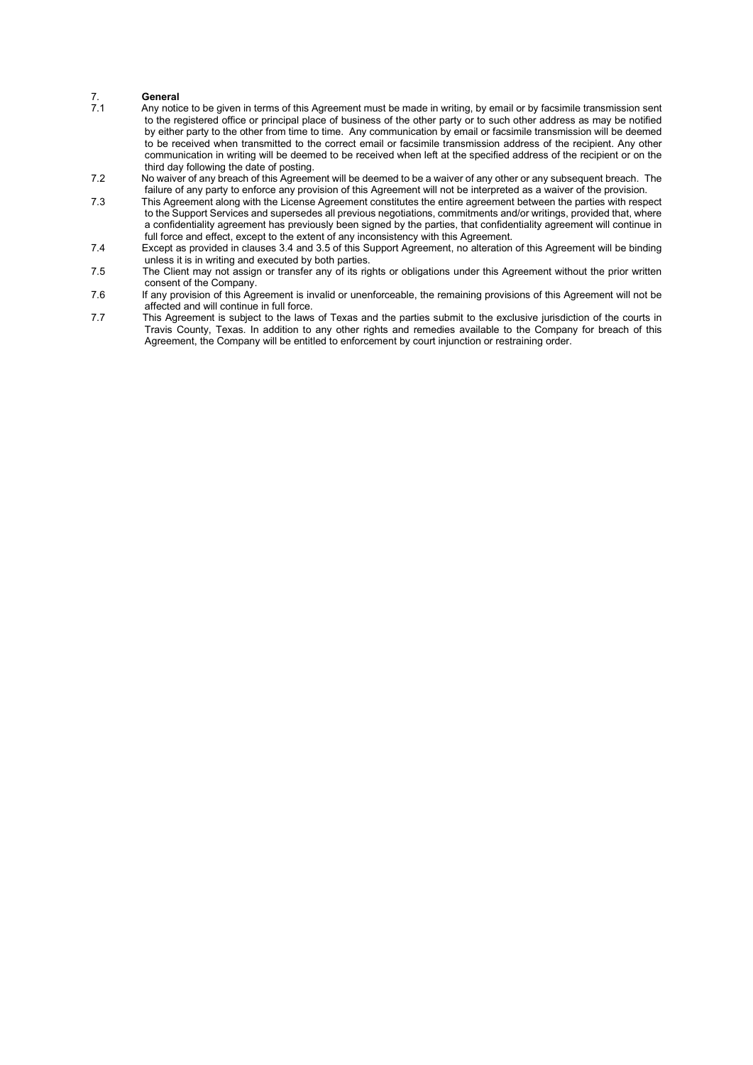# 7. **General**

- Any notice to be given in terms of this Agreement must be made in writing, by email or by facsimile transmission sent to the registered office or principal place of business of the other party or to such other address as may be notified by either party to the other from time to time. Any communication by email or facsimile transmission will be deemed to be received when transmitted to the correct email or facsimile transmission address of the recipient. Any other communication in writing will be deemed to be received when left at the specified address of the recipient or on the third day following the date of posting.
- 7.2 No waiver of any breach of this Agreement will be deemed to be a waiver of any other or any subsequent breach. The failure of any party to enforce any provision of this Agreement will not be interpreted as a waiver of the provision.
- 7.3 This Agreement along with the License Agreement constitutes the entire agreement between the parties with respect to the Support Services and supersedes all previous negotiations, commitments and/or writings, provided that, where a confidentiality agreement has previously been signed by the parties, that confidentiality agreement will continue in full force and effect, except to the extent of any inconsistency with this Agreement.
- 7.4 Except as provided in clauses 3.4 and 3.5 of this Support Agreement, no alteration of this Agreement will be binding unless it is in writing and executed by both parties.
- The Client may not assign or transfer any of its rights or obligations under this Agreement without the prior written consent of the Company.
- 7.6 If any provision of this Agreement is invalid or unenforceable, the remaining provisions of this Agreement will not be affected and will continue in full force.
- 7.7 This Agreement is subject to the laws of Texas and the parties submit to the exclusive jurisdiction of the courts in Travis County, Texas. In addition to any other rights and remedies available to the Company for breach of this Agreement, the Company will be entitled to enforcement by court injunction or restraining order.